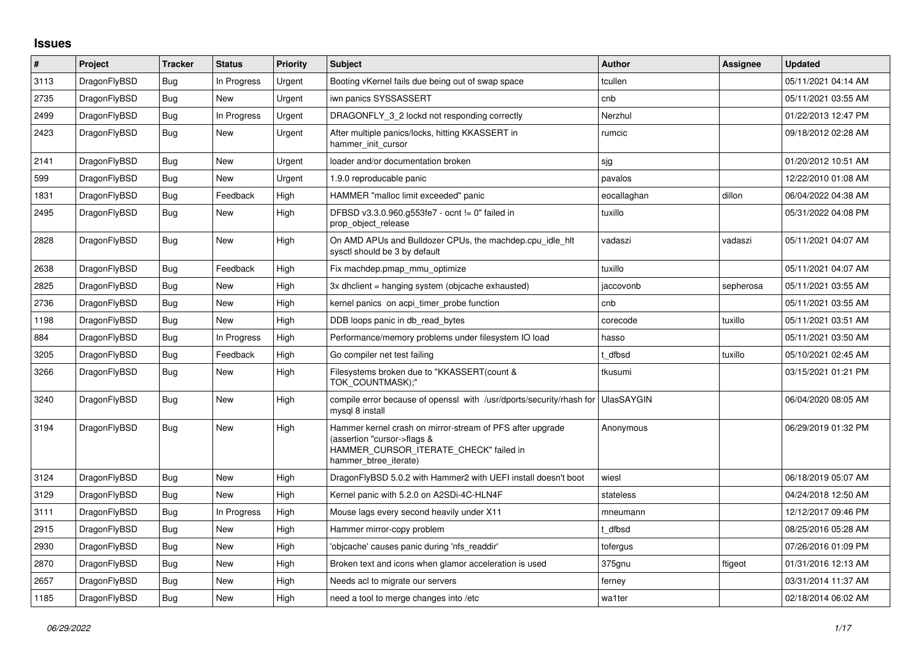## **Issues**

| $\pmb{\#}$ | <b>Project</b> | <b>Tracker</b> | <b>Status</b> | Priority | <b>Subject</b>                                                                                                                                              | <b>Author</b> | Assignee  | <b>Updated</b>      |
|------------|----------------|----------------|---------------|----------|-------------------------------------------------------------------------------------------------------------------------------------------------------------|---------------|-----------|---------------------|
| 3113       | DragonFlyBSD   | <b>Bug</b>     | In Progress   | Urgent   | Booting vKernel fails due being out of swap space                                                                                                           | tcullen       |           | 05/11/2021 04:14 AM |
| 2735       | DragonFlyBSD   | Bug            | New           | Urgent   | iwn panics SYSSASSERT                                                                                                                                       | cnb           |           | 05/11/2021 03:55 AM |
| 2499       | DragonFlyBSD   | <b>Bug</b>     | In Progress   | Urgent   | DRAGONFLY 3 2 lockd not responding correctly                                                                                                                | Nerzhul       |           | 01/22/2013 12:47 PM |
| 2423       | DragonFlyBSD   | Bug            | New           | Urgent   | After multiple panics/locks, hitting KKASSERT in<br>hammer init cursor                                                                                      | rumcic        |           | 09/18/2012 02:28 AM |
| 2141       | DragonFlyBSD   | <b>Bug</b>     | <b>New</b>    | Urgent   | loader and/or documentation broken                                                                                                                          | sjg           |           | 01/20/2012 10:51 AM |
| 599        | DragonFlyBSD   | Bug            | <b>New</b>    | Urgent   | 1.9.0 reproducable panic                                                                                                                                    | pavalos       |           | 12/22/2010 01:08 AM |
| 1831       | DragonFlyBSD   | Bug            | Feedback      | High     | HAMMER "malloc limit exceeded" panic                                                                                                                        | eocallaghan   | dillon    | 06/04/2022 04:38 AM |
| 2495       | DragonFlyBSD   | <b>Bug</b>     | New           | High     | DFBSD v3.3.0.960.g553fe7 - ocnt != 0" failed in<br>prop object release                                                                                      | tuxillo       |           | 05/31/2022 04:08 PM |
| 2828       | DragonFlyBSD   | Bug            | <b>New</b>    | High     | On AMD APUs and Bulldozer CPUs, the machdep.cpu idle hit<br>sysctl should be 3 by default                                                                   | vadaszi       | vadaszi   | 05/11/2021 04:07 AM |
| 2638       | DragonFlyBSD   | <b>Bug</b>     | Feedback      | High     | Fix machdep.pmap_mmu_optimize                                                                                                                               | tuxillo       |           | 05/11/2021 04:07 AM |
| 2825       | DragonFlyBSD   | Bug            | <b>New</b>    | High     | 3x dhclient = hanging system (objcache exhausted)                                                                                                           | jaccovonb     | sepherosa | 05/11/2021 03:55 AM |
| 2736       | DragonFlyBSD   | Bug            | <b>New</b>    | High     | kernel panics on acpi timer probe function                                                                                                                  | cnb           |           | 05/11/2021 03:55 AM |
| 1198       | DragonFlyBSD   | Bug            | New           | High     | DDB loops panic in db read bytes                                                                                                                            | corecode      | tuxillo   | 05/11/2021 03:51 AM |
| 884        | DragonFlyBSD   | Bug            | In Progress   | High     | Performance/memory problems under filesystem IO load                                                                                                        | hasso         |           | 05/11/2021 03:50 AM |
| 3205       | DragonFlyBSD   | Bug            | Feedback      | High     | Go compiler net test failing                                                                                                                                | t dfbsd       | tuxillo   | 05/10/2021 02:45 AM |
| 3266       | DragonFlyBSD   | Bug            | New           | High     | Filesystems broken due to "KKASSERT(count &<br>TOK_COUNTMASK);"                                                                                             | tkusumi       |           | 03/15/2021 01:21 PM |
| 3240       | DragonFlyBSD   | <b>Bug</b>     | <b>New</b>    | High     | compile error because of openssl with /usr/dports/security/rhash for<br>mysgl 8 install                                                                     | UlasSAYGIN    |           | 06/04/2020 08:05 AM |
| 3194       | DragonFlyBSD   | Bug            | <b>New</b>    | High     | Hammer kernel crash on mirror-stream of PFS after upgrade<br>(assertion "cursor->flags &<br>HAMMER_CURSOR_ITERATE_CHECK" failed in<br>hammer_btree_iterate) | Anonymous     |           | 06/29/2019 01:32 PM |
| 3124       | DragonFlyBSD   | Bug            | <b>New</b>    | High     | DragonFlyBSD 5.0.2 with Hammer2 with UEFI install doesn't boot                                                                                              | wiesl         |           | 06/18/2019 05:07 AM |
| 3129       | DragonFlyBSD   | Bug            | <b>New</b>    | High     | Kernel panic with 5.2.0 on A2SDi-4C-HLN4F                                                                                                                   | stateless     |           | 04/24/2018 12:50 AM |
| 3111       | DragonFlyBSD   | <b>Bug</b>     | In Progress   | High     | Mouse lags every second heavily under X11                                                                                                                   | mneumann      |           | 12/12/2017 09:46 PM |
| 2915       | DragonFlyBSD   | Bug            | <b>New</b>    | High     | Hammer mirror-copy problem                                                                                                                                  | t dfbsd       |           | 08/25/2016 05:28 AM |
| 2930       | DragonFlyBSD   | Bug            | New           | High     | 'objcache' causes panic during 'nfs_readdir'                                                                                                                | tofergus      |           | 07/26/2016 01:09 PM |
| 2870       | DragonFlyBSD   | Bug            | <b>New</b>    | High     | Broken text and icons when glamor acceleration is used                                                                                                      | 375gnu        | ftigeot   | 01/31/2016 12:13 AM |
| 2657       | DragonFlyBSD   | Bug            | <b>New</b>    | High     | Needs acl to migrate our servers                                                                                                                            | ferney        |           | 03/31/2014 11:37 AM |
| 1185       | DragonFlyBSD   | Bug            | New           | High     | need a tool to merge changes into /etc                                                                                                                      | wa1ter        |           | 02/18/2014 06:02 AM |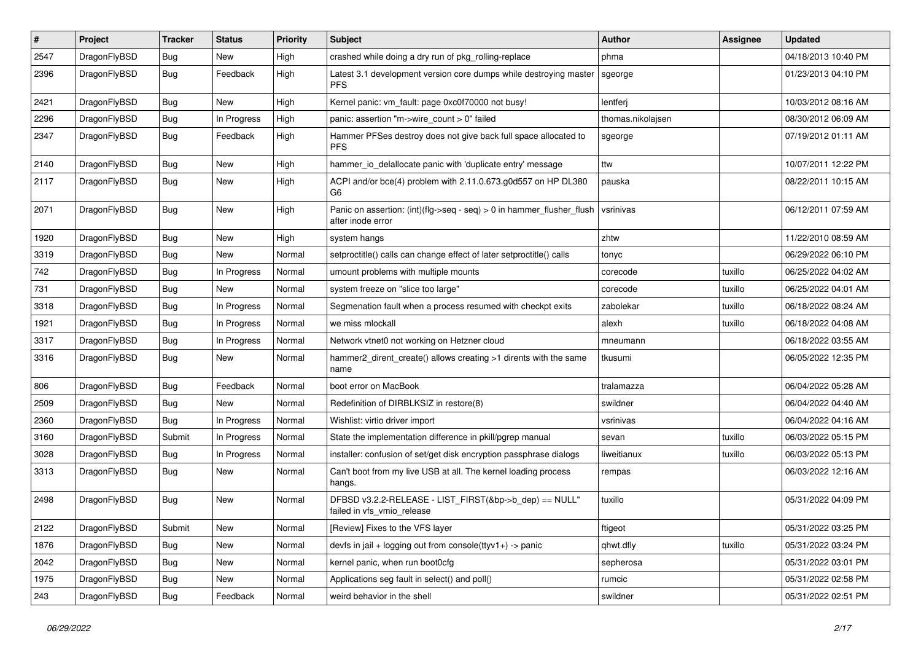| #    | Project      | <b>Tracker</b> | <b>Status</b> | <b>Priority</b> | Subject                                                                                    | <b>Author</b>     | Assignee | <b>Updated</b>      |
|------|--------------|----------------|---------------|-----------------|--------------------------------------------------------------------------------------------|-------------------|----------|---------------------|
| 2547 | DragonFlyBSD | Bug            | <b>New</b>    | High            | crashed while doing a dry run of pkg_rolling-replace                                       | phma              |          | 04/18/2013 10:40 PM |
| 2396 | DragonFlyBSD | <b>Bug</b>     | Feedback      | High            | Latest 3.1 development version core dumps while destroying master<br><b>PFS</b>            | sgeorge           |          | 01/23/2013 04:10 PM |
| 2421 | DragonFlyBSD | Bug            | <b>New</b>    | High            | Kernel panic: vm_fault: page 0xc0f70000 not busy!                                          | lentferj          |          | 10/03/2012 08:16 AM |
| 2296 | DragonFlyBSD | Bug            | In Progress   | High            | panic: assertion "m->wire_count > 0" failed                                                | thomas.nikolajsen |          | 08/30/2012 06:09 AM |
| 2347 | DragonFlyBSD | Bug            | Feedback      | High            | Hammer PFSes destroy does not give back full space allocated to<br><b>PFS</b>              | sgeorge           |          | 07/19/2012 01:11 AM |
| 2140 | DragonFlyBSD | Bug            | <b>New</b>    | High            | hammer_io_delallocate panic with 'duplicate entry' message                                 | ttw               |          | 10/07/2011 12:22 PM |
| 2117 | DragonFlyBSD | Bug            | New           | High            | ACPI and/or bce(4) problem with 2.11.0.673.g0d557 on HP DL380<br>G <sub>6</sub>            | pauska            |          | 08/22/2011 10:15 AM |
| 2071 | DragonFlyBSD | Bug            | New           | High            | Panic on assertion: (int)(flg->seq - seq) > 0 in hammer_flusher_flush<br>after inode error | vsrinivas         |          | 06/12/2011 07:59 AM |
| 1920 | DragonFlyBSD | Bug            | New           | High            | system hangs                                                                               | zhtw              |          | 11/22/2010 08:59 AM |
| 3319 | DragonFlyBSD | Bug            | New           | Normal          | setproctitle() calls can change effect of later setproctitle() calls                       | tonyc             |          | 06/29/2022 06:10 PM |
| 742  | DragonFlyBSD | Bug            | In Progress   | Normal          | umount problems with multiple mounts                                                       | corecode          | tuxillo  | 06/25/2022 04:02 AM |
| 731  | DragonFlyBSD | Bug            | New           | Normal          | system freeze on "slice too large"                                                         | corecode          | tuxillo  | 06/25/2022 04:01 AM |
| 3318 | DragonFlyBSD | Bug            | In Progress   | Normal          | Segmenation fault when a process resumed with checkpt exits                                | zabolekar         | tuxillo  | 06/18/2022 08:24 AM |
| 1921 | DragonFlyBSD | Bug            | In Progress   | Normal          | we miss mlockall                                                                           | alexh             | tuxillo  | 06/18/2022 04:08 AM |
| 3317 | DragonFlyBSD | Bug            | In Progress   | Normal          | Network vtnet0 not working on Hetzner cloud                                                | mneumann          |          | 06/18/2022 03:55 AM |
| 3316 | DragonFlyBSD | Bug            | <b>New</b>    | Normal          | hammer2_dirent_create() allows creating >1 dirents with the same<br>name                   | tkusumi           |          | 06/05/2022 12:35 PM |
| 806  | DragonFlyBSD | Bug            | Feedback      | Normal          | boot error on MacBook                                                                      | tralamazza        |          | 06/04/2022 05:28 AM |
| 2509 | DragonFlyBSD | Bug            | <b>New</b>    | Normal          | Redefinition of DIRBLKSIZ in restore(8)                                                    | swildner          |          | 06/04/2022 04:40 AM |
| 2360 | DragonFlyBSD | Bug            | In Progress   | Normal          | Wishlist: virtio driver import                                                             | vsrinivas         |          | 06/04/2022 04:16 AM |
| 3160 | DragonFlyBSD | Submit         | In Progress   | Normal          | State the implementation difference in pkill/pgrep manual                                  | sevan             | tuxillo  | 06/03/2022 05:15 PM |
| 3028 | DragonFlyBSD | Bug            | In Progress   | Normal          | installer: confusion of set/get disk encryption passphrase dialogs                         | liweitianux       | tuxillo  | 06/03/2022 05:13 PM |
| 3313 | DragonFlyBSD | Bug            | New           | Normal          | Can't boot from my live USB at all. The kernel loading process<br>hangs.                   | rempas            |          | 06/03/2022 12:16 AM |
| 2498 | DragonFlyBSD | Bug            | New           | Normal          | DFBSD v3.2.2-RELEASE - LIST_FIRST(&bp->b_dep) == NULL"<br>failed in vfs_vmio_release       | tuxillo           |          | 05/31/2022 04:09 PM |
| 2122 | DragonFlyBSD | Submit         | <b>New</b>    | Normal          | [Review] Fixes to the VFS layer                                                            | ftigeot           |          | 05/31/2022 03:25 PM |
| 1876 | DragonFlyBSD | <b>Bug</b>     | New           | Normal          | devfs in jail + logging out from console(ttyv1+) -> panic                                  | qhwt.dfly         | tuxillo  | 05/31/2022 03:24 PM |
| 2042 | DragonFlyBSD | <b>Bug</b>     | New           | Normal          | kernel panic, when run boot0cfg                                                            | sepherosa         |          | 05/31/2022 03:01 PM |
| 1975 | DragonFlyBSD | <b>Bug</b>     | New           | Normal          | Applications seg fault in select() and poll()                                              | rumcic            |          | 05/31/2022 02:58 PM |
| 243  | DragonFlyBSD | <b>Bug</b>     | Feedback      | Normal          | weird behavior in the shell                                                                | swildner          |          | 05/31/2022 02:51 PM |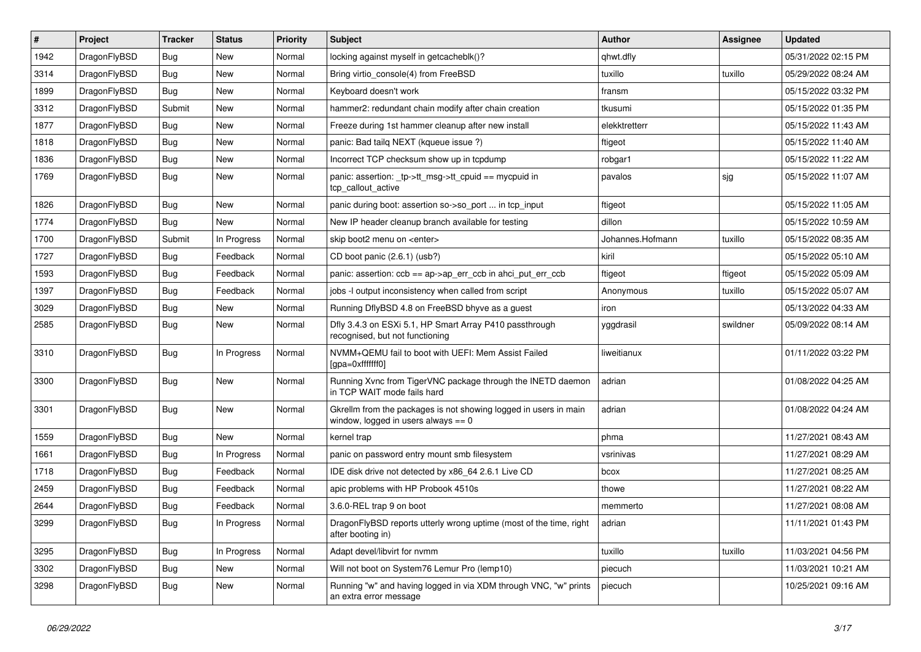| $\vert$ # | Project      | <b>Tracker</b> | <b>Status</b> | <b>Priority</b> | <b>Subject</b>                                                                                            | <b>Author</b>    | Assignee | <b>Updated</b>      |
|-----------|--------------|----------------|---------------|-----------------|-----------------------------------------------------------------------------------------------------------|------------------|----------|---------------------|
| 1942      | DragonFlyBSD | Bug            | <b>New</b>    | Normal          | locking against myself in getcacheblk()?                                                                  | qhwt.dfly        |          | 05/31/2022 02:15 PM |
| 3314      | DragonFlyBSD | <b>Bug</b>     | <b>New</b>    | Normal          | Bring virtio_console(4) from FreeBSD                                                                      | tuxillo          | tuxillo  | 05/29/2022 08:24 AM |
| 1899      | DragonFlyBSD | <b>Bug</b>     | <b>New</b>    | Normal          | Keyboard doesn't work                                                                                     | fransm           |          | 05/15/2022 03:32 PM |
| 3312      | DragonFlyBSD | Submit         | <b>New</b>    | Normal          | hammer2: redundant chain modify after chain creation                                                      | tkusumi          |          | 05/15/2022 01:35 PM |
| 1877      | DragonFlyBSD | <b>Bug</b>     | <b>New</b>    | Normal          | Freeze during 1st hammer cleanup after new install                                                        | elekktretterr    |          | 05/15/2022 11:43 AM |
| 1818      | DragonFlyBSD | <b>Bug</b>     | <b>New</b>    | Normal          | panic: Bad tailg NEXT (kqueue issue ?)                                                                    | ftigeot          |          | 05/15/2022 11:40 AM |
| 1836      | DragonFlyBSD | Bug            | <b>New</b>    | Normal          | Incorrect TCP checksum show up in tcpdump                                                                 | robgar1          |          | 05/15/2022 11:22 AM |
| 1769      | DragonFlyBSD | Bug            | <b>New</b>    | Normal          | panic: assertion: _tp->tt_msg->tt_cpuid == mycpuid in<br>tcp_callout_active                               | pavalos          | sjg      | 05/15/2022 11:07 AM |
| 1826      | DragonFlyBSD | Bug            | <b>New</b>    | Normal          | panic during boot: assertion so->so_port  in tcp_input                                                    | ftigeot          |          | 05/15/2022 11:05 AM |
| 1774      | DragonFlyBSD | Bug            | <b>New</b>    | Normal          | New IP header cleanup branch available for testing                                                        | dillon           |          | 05/15/2022 10:59 AM |
| 1700      | DragonFlyBSD | Submit         | In Progress   | Normal          | skip boot2 menu on <enter></enter>                                                                        | Johannes.Hofmann | tuxillo  | 05/15/2022 08:35 AM |
| 1727      | DragonFlyBSD | Bug            | Feedback      | Normal          | CD boot panic (2.6.1) (usb?)                                                                              | kiril            |          | 05/15/2022 05:10 AM |
| 1593      | DragonFlyBSD | Bug            | Feedback      | Normal          | panic: assertion: ccb == ap->ap_err_ccb in ahci_put_err_ccb                                               | ftigeot          | ftigeot  | 05/15/2022 05:09 AM |
| 1397      | DragonFlyBSD | <b>Bug</b>     | Feedback      | Normal          | jobs -I output inconsistency when called from script                                                      | Anonymous        | tuxillo  | 05/15/2022 05:07 AM |
| 3029      | DragonFlyBSD | <b>Bug</b>     | <b>New</b>    | Normal          | Running DflyBSD 4.8 on FreeBSD bhyve as a guest                                                           | iron             |          | 05/13/2022 04:33 AM |
| 2585      | DragonFlyBSD | Bug            | New           | Normal          | Dfly 3.4.3 on ESXi 5.1, HP Smart Array P410 passthrough<br>recognised, but not functioning                | yggdrasil        | swildner | 05/09/2022 08:14 AM |
| 3310      | DragonFlyBSD | <b>Bug</b>     | In Progress   | Normal          | NVMM+QEMU fail to boot with UEFI: Mem Assist Failed<br>[gpa=0xfffffff0]                                   | liweitianux      |          | 01/11/2022 03:22 PM |
| 3300      | DragonFlyBSD | <b>Bug</b>     | New           | Normal          | Running Xvnc from TigerVNC package through the INETD daemon<br>in TCP WAIT mode fails hard                | adrian           |          | 01/08/2022 04:25 AM |
| 3301      | DragonFlyBSD | Bug            | <b>New</b>    | Normal          | Gkrellm from the packages is not showing logged in users in main<br>window, logged in users always $== 0$ | adrian           |          | 01/08/2022 04:24 AM |
| 1559      | DragonFlyBSD | Bug            | <b>New</b>    | Normal          | kernel trap                                                                                               | phma             |          | 11/27/2021 08:43 AM |
| 1661      | DragonFlyBSD | <b>Bug</b>     | In Progress   | Normal          | panic on password entry mount smb filesystem                                                              | vsrinivas        |          | 11/27/2021 08:29 AM |
| 1718      | DragonFlyBSD | <b>Bug</b>     | Feedback      | Normal          | IDE disk drive not detected by x86_64 2.6.1 Live CD                                                       | bcox             |          | 11/27/2021 08:25 AM |
| 2459      | DragonFlyBSD | Bug            | Feedback      | Normal          | apic problems with HP Probook 4510s                                                                       | thowe            |          | 11/27/2021 08:22 AM |
| 2644      | DragonFlyBSD | <b>Bug</b>     | Feedback      | Normal          | 3.6.0-REL trap 9 on boot                                                                                  | memmerto         |          | 11/27/2021 08:08 AM |
| 3299      | DragonFlyBSD | <b>Bug</b>     | In Progress   | Normal          | DragonFlyBSD reports utterly wrong uptime (most of the time, right<br>after booting in)                   | adrian           |          | 11/11/2021 01:43 PM |
| 3295      | DragonFlyBSD | Bug            | In Progress   | Normal          | Adapt devel/libvirt for nvmm                                                                              | tuxillo          | tuxillo  | 11/03/2021 04:56 PM |
| 3302      | DragonFlyBSD | <b>Bug</b>     | New           | Normal          | Will not boot on System76 Lemur Pro (lemp10)                                                              | piecuch          |          | 11/03/2021 10:21 AM |
| 3298      | DragonFlyBSD | <b>Bug</b>     | New           | Normal          | Running "w" and having logged in via XDM through VNC, "w" prints<br>an extra error message                | piecuch          |          | 10/25/2021 09:16 AM |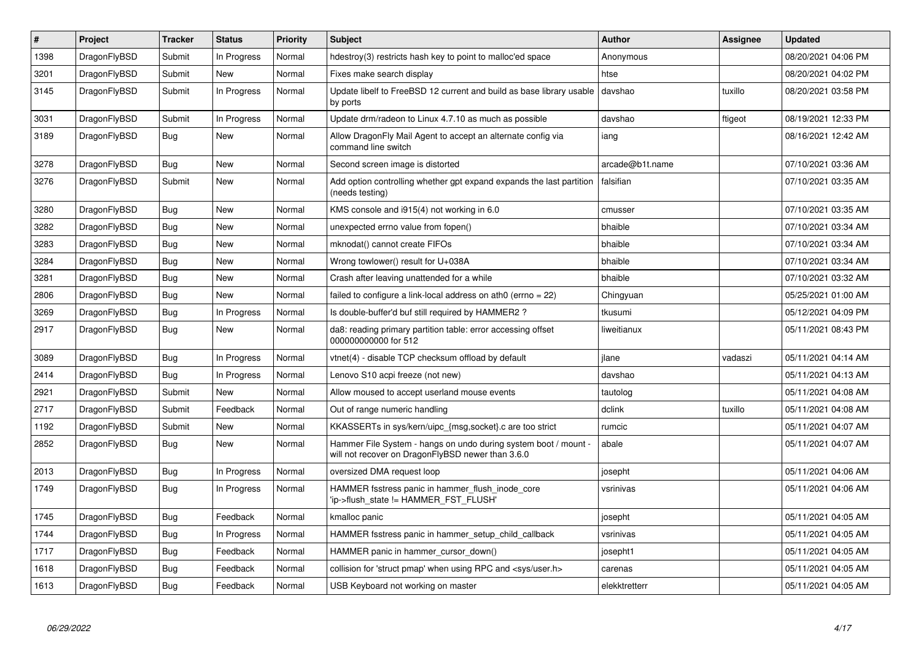| $\pmb{\#}$ | Project      | <b>Tracker</b> | <b>Status</b> | <b>Priority</b> | <b>Subject</b>                                                                                                       | <b>Author</b>   | Assignee | Updated             |
|------------|--------------|----------------|---------------|-----------------|----------------------------------------------------------------------------------------------------------------------|-----------------|----------|---------------------|
| 1398       | DragonFlyBSD | Submit         | In Progress   | Normal          | hdestroy(3) restricts hash key to point to malloc'ed space                                                           | Anonymous       |          | 08/20/2021 04:06 PM |
| 3201       | DragonFlyBSD | Submit         | New           | Normal          | Fixes make search display                                                                                            | htse            |          | 08/20/2021 04:02 PM |
| 3145       | DragonFlyBSD | Submit         | In Progress   | Normal          | Update libelf to FreeBSD 12 current and build as base library usable<br>by ports                                     | davshao         | tuxillo  | 08/20/2021 03:58 PM |
| 3031       | DragonFlyBSD | Submit         | In Progress   | Normal          | Update drm/radeon to Linux 4.7.10 as much as possible                                                                | davshao         | ftigeot  | 08/19/2021 12:33 PM |
| 3189       | DragonFlyBSD | <b>Bug</b>     | New           | Normal          | Allow DragonFly Mail Agent to accept an alternate config via<br>command line switch                                  | iang            |          | 08/16/2021 12:42 AM |
| 3278       | DragonFlyBSD | Bug            | <b>New</b>    | Normal          | Second screen image is distorted                                                                                     | arcade@b1t.name |          | 07/10/2021 03:36 AM |
| 3276       | DragonFlyBSD | Submit         | New           | Normal          | Add option controlling whether gpt expand expands the last partition<br>(needs testing)                              | falsifian       |          | 07/10/2021 03:35 AM |
| 3280       | DragonFlyBSD | Bug            | New           | Normal          | KMS console and i915(4) not working in 6.0                                                                           | cmusser         |          | 07/10/2021 03:35 AM |
| 3282       | DragonFlyBSD | <b>Bug</b>     | <b>New</b>    | Normal          | unexpected errno value from fopen()                                                                                  | bhaible         |          | 07/10/2021 03:34 AM |
| 3283       | DragonFlyBSD | Bug            | <b>New</b>    | Normal          | mknodat() cannot create FIFOs                                                                                        | bhaible         |          | 07/10/2021 03:34 AM |
| 3284       | DragonFlyBSD | <b>Bug</b>     | <b>New</b>    | Normal          | Wrong towlower() result for U+038A                                                                                   | bhaible         |          | 07/10/2021 03:34 AM |
| 3281       | DragonFlyBSD | Bug            | <b>New</b>    | Normal          | Crash after leaving unattended for a while                                                                           | bhaible         |          | 07/10/2021 03:32 AM |
| 2806       | DragonFlyBSD | Bug            | <b>New</b>    | Normal          | failed to configure a link-local address on ath0 (errno = 22)                                                        | Chingyuan       |          | 05/25/2021 01:00 AM |
| 3269       | DragonFlyBSD | Bug            | In Progress   | Normal          | Is double-buffer'd buf still required by HAMMER2?                                                                    | tkusumi         |          | 05/12/2021 04:09 PM |
| 2917       | DragonFlyBSD | <b>Bug</b>     | <b>New</b>    | Normal          | da8: reading primary partition table: error accessing offset<br>000000000000 for 512                                 | liweitianux     |          | 05/11/2021 08:43 PM |
| 3089       | DragonFlyBSD | <b>Bug</b>     | In Progress   | Normal          | vtnet(4) - disable TCP checksum offload by default                                                                   | ilane           | vadaszi  | 05/11/2021 04:14 AM |
| 2414       | DragonFlyBSD | <b>Bug</b>     | In Progress   | Normal          | Lenovo S10 acpi freeze (not new)                                                                                     | davshao         |          | 05/11/2021 04:13 AM |
| 2921       | DragonFlyBSD | Submit         | <b>New</b>    | Normal          | Allow moused to accept userland mouse events                                                                         | tautolog        |          | 05/11/2021 04:08 AM |
| 2717       | DragonFlyBSD | Submit         | Feedback      | Normal          | Out of range numeric handling                                                                                        | dclink          | tuxillo  | 05/11/2021 04:08 AM |
| 1192       | DragonFlyBSD | Submit         | <b>New</b>    | Normal          | KKASSERTs in sys/kern/uipc_{msg,socket}.c are too strict                                                             | rumcic          |          | 05/11/2021 04:07 AM |
| 2852       | DragonFlyBSD | Bug            | New           | Normal          | Hammer File System - hangs on undo during system boot / mount -<br>will not recover on DragonFlyBSD newer than 3.6.0 | abale           |          | 05/11/2021 04:07 AM |
| 2013       | DragonFlyBSD | Bug            | In Progress   | Normal          | oversized DMA request loop                                                                                           | josepht         |          | 05/11/2021 04:06 AM |
| 1749       | DragonFlyBSD | <b>Bug</b>     | In Progress   | Normal          | HAMMER fsstress panic in hammer_flush_inode_core<br>'ip->flush_state != HAMMER_FST_FLUSH'                            | vsrinivas       |          | 05/11/2021 04:06 AM |
| 1745       | DragonFlyBSD | <b>Bug</b>     | Feedback      | Normal          | kmalloc panic                                                                                                        | josepht         |          | 05/11/2021 04:05 AM |
| 1744       | DragonFlyBSD | Bug            | In Progress   | Normal          | HAMMER fsstress panic in hammer setup child callback                                                                 | vsrinivas       |          | 05/11/2021 04:05 AM |
| 1717       | DragonFlyBSD | Bug            | Feedback      | Normal          | HAMMER panic in hammer_cursor_down()                                                                                 | josepht1        |          | 05/11/2021 04:05 AM |
| 1618       | DragonFlyBSD | Bug            | Feedback      | Normal          | collision for 'struct pmap' when using RPC and <sys user.h=""></sys>                                                 | carenas         |          | 05/11/2021 04:05 AM |
| 1613       | DragonFlyBSD | Bug            | Feedback      | Normal          | USB Keyboard not working on master                                                                                   | elekktretterr   |          | 05/11/2021 04:05 AM |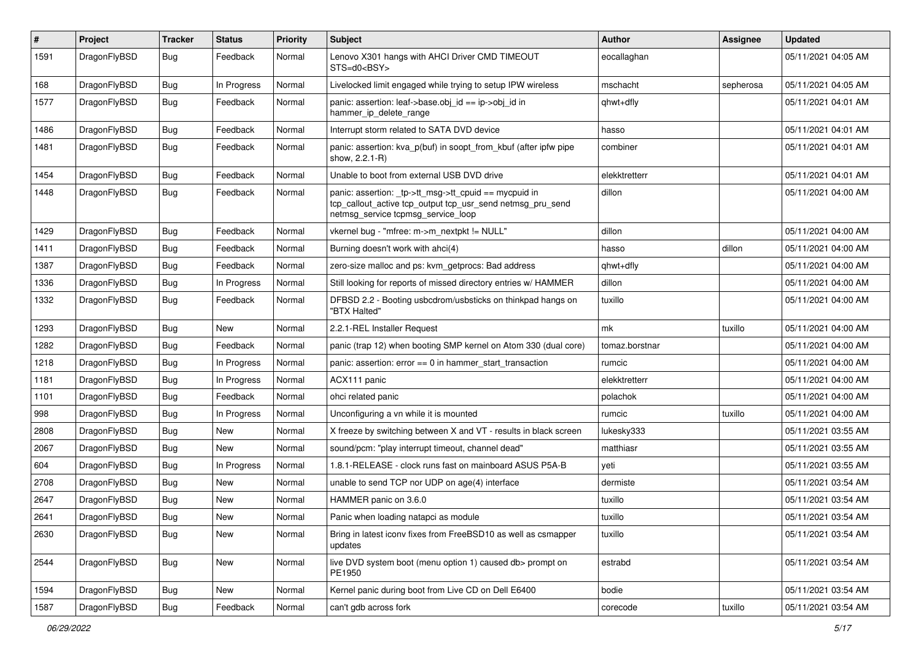| $\sharp$ | Project      | <b>Tracker</b> | <b>Status</b> | <b>Priority</b> | Subject                                                                                                                                                   | <b>Author</b>  | Assignee  | <b>Updated</b>      |
|----------|--------------|----------------|---------------|-----------------|-----------------------------------------------------------------------------------------------------------------------------------------------------------|----------------|-----------|---------------------|
| 1591     | DragonFlyBSD | Bug            | Feedback      | Normal          | Lenovo X301 hangs with AHCI Driver CMD TIMEOUT<br>STS=d0 <bsy></bsy>                                                                                      | eocallaghan    |           | 05/11/2021 04:05 AM |
| 168      | DragonFlyBSD | Bug            | In Progress   | Normal          | Livelocked limit engaged while trying to setup IPW wireless                                                                                               | mschacht       | sepherosa | 05/11/2021 04:05 AM |
| 1577     | DragonFlyBSD | <b>Bug</b>     | Feedback      | Normal          | panic: assertion: leaf->base.obj id == ip->obj id in<br>hammer_ip_delete_range                                                                            | qhwt+dfly      |           | 05/11/2021 04:01 AM |
| 1486     | DragonFlyBSD | Bug            | Feedback      | Normal          | Interrupt storm related to SATA DVD device                                                                                                                | hasso          |           | 05/11/2021 04:01 AM |
| 1481     | DragonFlyBSD | <b>Bug</b>     | Feedback      | Normal          | panic: assertion: kva_p(buf) in soopt_from_kbuf (after ipfw pipe<br>show, 2.2.1-R)                                                                        | combiner       |           | 05/11/2021 04:01 AM |
| 1454     | DragonFlyBSD | Bug            | Feedback      | Normal          | Unable to boot from external USB DVD drive                                                                                                                | elekktretterr  |           | 05/11/2021 04:01 AM |
| 1448     | DragonFlyBSD | <b>Bug</b>     | Feedback      | Normal          | panic: assertion: _tp->tt_msg->tt_cpuid == mycpuid in<br>tcp_callout_active tcp_output tcp_usr_send netmsg_pru_send<br>netmsg_service tcpmsg_service_loop | dillon         |           | 05/11/2021 04:00 AM |
| 1429     | DragonFlyBSD | Bug            | Feedback      | Normal          | vkernel bug - "mfree: m->m nextpkt != NULL"                                                                                                               | dillon         |           | 05/11/2021 04:00 AM |
| 1411     | DragonFlyBSD | <b>Bug</b>     | Feedback      | Normal          | Burning doesn't work with ahci(4)                                                                                                                         | hasso          | dillon    | 05/11/2021 04:00 AM |
| 1387     | DragonFlyBSD | <b>Bug</b>     | Feedback      | Normal          | zero-size malloc and ps: kvm getprocs: Bad address                                                                                                        | qhwt+dfly      |           | 05/11/2021 04:00 AM |
| 1336     | DragonFlyBSD | Bug            | In Progress   | Normal          | Still looking for reports of missed directory entries w/ HAMMER                                                                                           | dillon         |           | 05/11/2021 04:00 AM |
| 1332     | DragonFlyBSD | Bug            | Feedback      | Normal          | DFBSD 2.2 - Booting usbcdrom/usbsticks on thinkpad hangs on<br>"BTX Halted"                                                                               | tuxillo        |           | 05/11/2021 04:00 AM |
| 1293     | DragonFlyBSD | <b>Bug</b>     | New           | Normal          | 2.2.1-REL Installer Request                                                                                                                               | mk             | tuxillo   | 05/11/2021 04:00 AM |
| 1282     | DragonFlyBSD | <b>Bug</b>     | Feedback      | Normal          | panic (trap 12) when booting SMP kernel on Atom 330 (dual core)                                                                                           | tomaz.borstnar |           | 05/11/2021 04:00 AM |
| 1218     | DragonFlyBSD | <b>Bug</b>     | In Progress   | Normal          | panic: assertion: error == 0 in hammer_start_transaction                                                                                                  | rumcic         |           | 05/11/2021 04:00 AM |
| 1181     | DragonFlyBSD | <b>Bug</b>     | In Progress   | Normal          | ACX111 panic                                                                                                                                              | elekktretterr  |           | 05/11/2021 04:00 AM |
| 1101     | DragonFlyBSD | <b>Bug</b>     | Feedback      | Normal          | ohci related panic                                                                                                                                        | polachok       |           | 05/11/2021 04:00 AM |
| 998      | DragonFlyBSD | <b>Bug</b>     | In Progress   | Normal          | Unconfiguring a vn while it is mounted                                                                                                                    | rumcic         | tuxillo   | 05/11/2021 04:00 AM |
| 2808     | DragonFlyBSD | <b>Bug</b>     | New           | Normal          | X freeze by switching between X and VT - results in black screen                                                                                          | lukesky333     |           | 05/11/2021 03:55 AM |
| 2067     | DragonFlyBSD | Bug            | New           | Normal          | sound/pcm: "play interrupt timeout, channel dead"                                                                                                         | matthiasr      |           | 05/11/2021 03:55 AM |
| 604      | DragonFlyBSD | <b>Bug</b>     | In Progress   | Normal          | 1.8.1-RELEASE - clock runs fast on mainboard ASUS P5A-B                                                                                                   | yeti           |           | 05/11/2021 03:55 AM |
| 2708     | DragonFlyBSD | <b>Bug</b>     | New           | Normal          | unable to send TCP nor UDP on age(4) interface                                                                                                            | dermiste       |           | 05/11/2021 03:54 AM |
| 2647     | DragonFlyBSD | Bug            | New           | Normal          | HAMMER panic on 3.6.0                                                                                                                                     | tuxillo        |           | 05/11/2021 03:54 AM |
| 2641     | DragonFlyBSD | Bug            | <b>New</b>    | Normal          | Panic when loading natapci as module                                                                                                                      | tuxillo        |           | 05/11/2021 03:54 AM |
| 2630     | DragonFlyBSD | <b>Bug</b>     | New           | Normal          | Bring in latest iconv fixes from FreeBSD10 as well as csmapper<br>updates                                                                                 | tuxillo        |           | 05/11/2021 03:54 AM |
| 2544     | DragonFlyBSD | <b>Bug</b>     | <b>New</b>    | Normal          | live DVD system boot (menu option 1) caused db> prompt on<br>PE1950                                                                                       | estrabd        |           | 05/11/2021 03:54 AM |
| 1594     | DragonFlyBSD | Bug            | New           | Normal          | Kernel panic during boot from Live CD on Dell E6400                                                                                                       | bodie          |           | 05/11/2021 03:54 AM |
| 1587     | DragonFlyBSD | <b>Bug</b>     | Feedback      | Normal          | can't gdb across fork                                                                                                                                     | corecode       | tuxillo   | 05/11/2021 03:54 AM |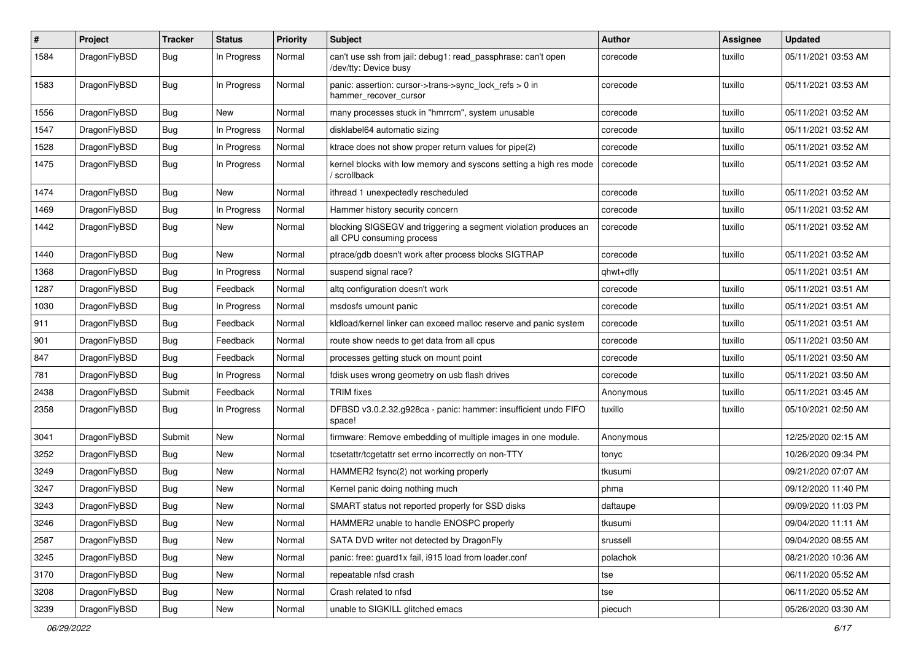| $\pmb{\#}$ | Project      | <b>Tracker</b> | <b>Status</b> | <b>Priority</b> | <b>Subject</b>                                                                               | <b>Author</b> | <b>Assignee</b> | <b>Updated</b>      |
|------------|--------------|----------------|---------------|-----------------|----------------------------------------------------------------------------------------------|---------------|-----------------|---------------------|
| 1584       | DragonFlyBSD | Bug            | In Progress   | Normal          | can't use ssh from jail: debug1: read_passphrase: can't open<br>/dev/tty: Device busy        | corecode      | tuxillo         | 05/11/2021 03:53 AM |
| 1583       | DragonFlyBSD | Bug            | In Progress   | Normal          | panic: assertion: cursor->trans->sync_lock_refs > 0 in<br>hammer_recover_cursor              | corecode      | tuxillo         | 05/11/2021 03:53 AM |
| 1556       | DragonFlyBSD | Bug            | New           | Normal          | many processes stuck in "hmrrcm", system unusable                                            | corecode      | tuxillo         | 05/11/2021 03:52 AM |
| 1547       | DragonFlyBSD | Bug            | In Progress   | Normal          | disklabel64 automatic sizing                                                                 | corecode      | tuxillo         | 05/11/2021 03:52 AM |
| 1528       | DragonFlyBSD | Bug            | In Progress   | Normal          | ktrace does not show proper return values for pipe(2)                                        | corecode      | tuxillo         | 05/11/2021 03:52 AM |
| 1475       | DragonFlyBSD | Bug            | In Progress   | Normal          | kernel blocks with low memory and syscons setting a high res mode<br>/ scrollback            | corecode      | tuxillo         | 05/11/2021 03:52 AM |
| 1474       | DragonFlyBSD | Bug            | New           | Normal          | ithread 1 unexpectedly rescheduled                                                           | corecode      | tuxillo         | 05/11/2021 03:52 AM |
| 1469       | DragonFlyBSD | Bug            | In Progress   | Normal          | Hammer history security concern                                                              | corecode      | tuxillo         | 05/11/2021 03:52 AM |
| 1442       | DragonFlyBSD | Bug            | New           | Normal          | blocking SIGSEGV and triggering a segment violation produces an<br>all CPU consuming process | corecode      | tuxillo         | 05/11/2021 03:52 AM |
| 1440       | DragonFlyBSD | <b>Bug</b>     | New           | Normal          | ptrace/gdb doesn't work after process blocks SIGTRAP                                         | corecode      | tuxillo         | 05/11/2021 03:52 AM |
| 1368       | DragonFlyBSD | Bug            | In Progress   | Normal          | suspend signal race?                                                                         | qhwt+dfly     |                 | 05/11/2021 03:51 AM |
| 1287       | DragonFlyBSD | Bug            | Feedback      | Normal          | altg configuration doesn't work                                                              | corecode      | tuxillo         | 05/11/2021 03:51 AM |
| 1030       | DragonFlyBSD | Bug            | In Progress   | Normal          | msdosfs umount panic                                                                         | corecode      | tuxillo         | 05/11/2021 03:51 AM |
| 911        | DragonFlyBSD | Bug            | Feedback      | Normal          | kldload/kernel linker can exceed malloc reserve and panic system                             | corecode      | tuxillo         | 05/11/2021 03:51 AM |
| 901        | DragonFlyBSD | Bug            | Feedback      | Normal          | route show needs to get data from all cpus                                                   | corecode      | tuxillo         | 05/11/2021 03:50 AM |
| 847        | DragonFlyBSD | Bug            | Feedback      | Normal          | processes getting stuck on mount point                                                       | corecode      | tuxillo         | 05/11/2021 03:50 AM |
| 781        | DragonFlyBSD | <b>Bug</b>     | In Progress   | Normal          | fdisk uses wrong geometry on usb flash drives                                                | corecode      | tuxillo         | 05/11/2021 03:50 AM |
| 2438       | DragonFlyBSD | Submit         | Feedback      | Normal          | <b>TRIM</b> fixes                                                                            | Anonymous     | tuxillo         | 05/11/2021 03:45 AM |
| 2358       | DragonFlyBSD | <b>Bug</b>     | In Progress   | Normal          | DFBSD v3.0.2.32.g928ca - panic: hammer: insufficient undo FIFO<br>space!                     | tuxillo       | tuxillo         | 05/10/2021 02:50 AM |
| 3041       | DragonFlyBSD | Submit         | New           | Normal          | firmware: Remove embedding of multiple images in one module.                                 | Anonymous     |                 | 12/25/2020 02:15 AM |
| 3252       | DragonFlyBSD | Bug            | <b>New</b>    | Normal          | tcsetattr/tcgetattr set errno incorrectly on non-TTY                                         | tonyc         |                 | 10/26/2020 09:34 PM |
| 3249       | DragonFlyBSD | Bug            | New           | Normal          | HAMMER2 fsync(2) not working properly                                                        | tkusumi       |                 | 09/21/2020 07:07 AM |
| 3247       | DragonFlyBSD | Bug            | <b>New</b>    | Normal          | Kernel panic doing nothing much                                                              | phma          |                 | 09/12/2020 11:40 PM |
| 3243       | DragonFlyBSD | Bug            | New           | Normal          | SMART status not reported properly for SSD disks                                             | daftaupe      |                 | 09/09/2020 11:03 PM |
| 3246       | DragonFlyBSD | <b>Bug</b>     | New           | Normal          | HAMMER2 unable to handle ENOSPC properly                                                     | tkusumi       |                 | 09/04/2020 11:11 AM |
| 2587       | DragonFlyBSD | Bug            | New           | Normal          | SATA DVD writer not detected by DragonFly                                                    | srussell      |                 | 09/04/2020 08:55 AM |
| 3245       | DragonFlyBSD | <b>Bug</b>     | New           | Normal          | panic: free: guard1x fail, i915 load from loader.conf                                        | polachok      |                 | 08/21/2020 10:36 AM |
| 3170       | DragonFlyBSD | Bug            | New           | Normal          | repeatable nfsd crash                                                                        | tse           |                 | 06/11/2020 05:52 AM |
| 3208       | DragonFlyBSD | <b>Bug</b>     | New           | Normal          | Crash related to nfsd                                                                        | tse           |                 | 06/11/2020 05:52 AM |
| 3239       | DragonFlyBSD | Bug            | New           | Normal          | unable to SIGKILL glitched emacs                                                             | piecuch       |                 | 05/26/2020 03:30 AM |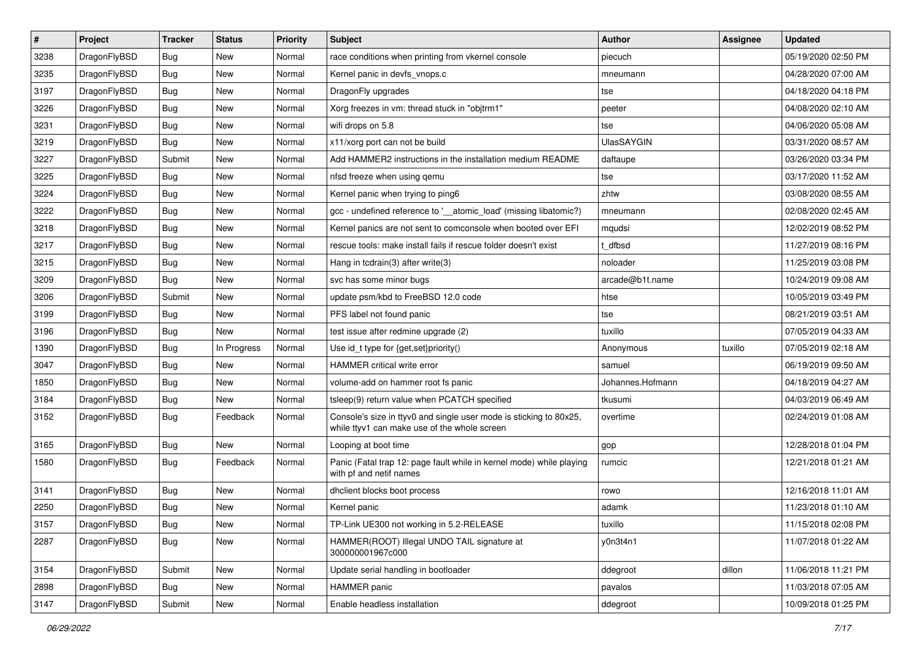| $\sharp$ | Project      | <b>Tracker</b> | <b>Status</b> | <b>Priority</b> | Subject                                                                                                            | <b>Author</b>     | Assignee | <b>Updated</b>      |
|----------|--------------|----------------|---------------|-----------------|--------------------------------------------------------------------------------------------------------------------|-------------------|----------|---------------------|
| 3238     | DragonFlyBSD | Bug            | New           | Normal          | race conditions when printing from vkernel console                                                                 | piecuch           |          | 05/19/2020 02:50 PM |
| 3235     | DragonFlyBSD | Bug            | New           | Normal          | Kernel panic in devfs vnops.c                                                                                      | mneumann          |          | 04/28/2020 07:00 AM |
| 3197     | DragonFlyBSD | <b>Bug</b>     | <b>New</b>    | Normal          | DragonFly upgrades                                                                                                 | tse               |          | 04/18/2020 04:18 PM |
| 3226     | DragonFlyBSD | <b>Bug</b>     | New           | Normal          | Xorg freezes in vm: thread stuck in "objtrm1"                                                                      | peeter            |          | 04/08/2020 02:10 AM |
| 3231     | DragonFlyBSD | Bug            | <b>New</b>    | Normal          | wifi drops on 5.8                                                                                                  | tse               |          | 04/06/2020 05:08 AM |
| 3219     | DragonFlyBSD | Bug            | <b>New</b>    | Normal          | x11/xorg port can not be build                                                                                     | <b>UlasSAYGIN</b> |          | 03/31/2020 08:57 AM |
| 3227     | DragonFlyBSD | Submit         | New           | Normal          | Add HAMMER2 instructions in the installation medium README                                                         | daftaupe          |          | 03/26/2020 03:34 PM |
| 3225     | DragonFlyBSD | <b>Bug</b>     | New           | Normal          | nfsd freeze when using gemu                                                                                        | tse               |          | 03/17/2020 11:52 AM |
| 3224     | DragonFlyBSD | <b>Bug</b>     | New           | Normal          | Kernel panic when trying to ping6                                                                                  | zhtw              |          | 03/08/2020 08:55 AM |
| 3222     | DragonFlyBSD | Bug            | <b>New</b>    | Normal          | gcc - undefined reference to '__atomic_load' (missing libatomic?)                                                  | mneumann          |          | 02/08/2020 02:45 AM |
| 3218     | DragonFlyBSD | <b>Bug</b>     | New           | Normal          | Kernel panics are not sent to comconsole when booted over EFI                                                      | mqudsi            |          | 12/02/2019 08:52 PM |
| 3217     | DragonFlyBSD | Bug            | <b>New</b>    | Normal          | rescue tools: make install fails if rescue folder doesn't exist                                                    | t dfbsd           |          | 11/27/2019 08:16 PM |
| 3215     | DragonFlyBSD | <b>Bug</b>     | New           | Normal          | Hang in tcdrain(3) after write(3)                                                                                  | noloader          |          | 11/25/2019 03:08 PM |
| 3209     | DragonFlyBSD | <b>Bug</b>     | New           | Normal          | svc has some minor bugs                                                                                            | arcade@b1t.name   |          | 10/24/2019 09:08 AM |
| 3206     | DragonFlyBSD | Submit         | New           | Normal          | update psm/kbd to FreeBSD 12.0 code                                                                                | htse              |          | 10/05/2019 03:49 PM |
| 3199     | DragonFlyBSD | <b>Bug</b>     | New           | Normal          | PFS label not found panic                                                                                          | tse               |          | 08/21/2019 03:51 AM |
| 3196     | DragonFlyBSD | Bug            | <b>New</b>    | Normal          | test issue after redmine upgrade (2)                                                                               | tuxillo           |          | 07/05/2019 04:33 AM |
| 1390     | DragonFlyBSD | <b>Bug</b>     | In Progress   | Normal          | Use id_t type for {get,set}priority()                                                                              | Anonymous         | tuxillo  | 07/05/2019 02:18 AM |
| 3047     | DragonFlyBSD | Bug            | <b>New</b>    | Normal          | HAMMER critical write error                                                                                        | samuel            |          | 06/19/2019 09:50 AM |
| 1850     | DragonFlyBSD | Bug            | New           | Normal          | volume-add on hammer root fs panic                                                                                 | Johannes.Hofmann  |          | 04/18/2019 04:27 AM |
| 3184     | DragonFlyBSD | <b>Bug</b>     | New           | Normal          | tsleep(9) return value when PCATCH specified                                                                       | tkusumi           |          | 04/03/2019 06:49 AM |
| 3152     | DragonFlyBSD | <b>Bug</b>     | Feedback      | Normal          | Console's size in ttyv0 and single user mode is sticking to 80x25,<br>while ttyv1 can make use of the whole screen | overtime          |          | 02/24/2019 01:08 AM |
| 3165     | DragonFlyBSD | Bug            | New           | Normal          | Looping at boot time                                                                                               | gop               |          | 12/28/2018 01:04 PM |
| 1580     | DragonFlyBSD | Bug            | Feedback      | Normal          | Panic (Fatal trap 12: page fault while in kernel mode) while playing<br>with pf and netif names                    | rumcic            |          | 12/21/2018 01:21 AM |
| 3141     | DragonFlyBSD | Bug            | New           | Normal          | dhclient blocks boot process                                                                                       | rowo              |          | 12/16/2018 11:01 AM |
| 2250     | DragonFlyBSD | Bug            | New           | Normal          | Kernel panic                                                                                                       | adamk             |          | 11/23/2018 01:10 AM |
| 3157     | DragonFlyBSD | <b>Bug</b>     | <b>New</b>    | Normal          | TP-Link UE300 not working in 5.2-RELEASE                                                                           | tuxillo           |          | 11/15/2018 02:08 PM |
| 2287     | DragonFlyBSD | <b>Bug</b>     | New           | Normal          | HAMMER(ROOT) Illegal UNDO TAIL signature at<br>300000001967c000                                                    | y0n3t4n1          |          | 11/07/2018 01:22 AM |
| 3154     | DragonFlyBSD | Submit         | New           | Normal          | Update serial handling in bootloader                                                                               | ddegroot          | dillon   | 11/06/2018 11:21 PM |
| 2898     | DragonFlyBSD | <b>Bug</b>     | <b>New</b>    | Normal          | <b>HAMMER</b> panic                                                                                                | pavalos           |          | 11/03/2018 07:05 AM |
| 3147     | DragonFlyBSD | Submit         | New           | Normal          | Enable headless installation                                                                                       | ddegroot          |          | 10/09/2018 01:25 PM |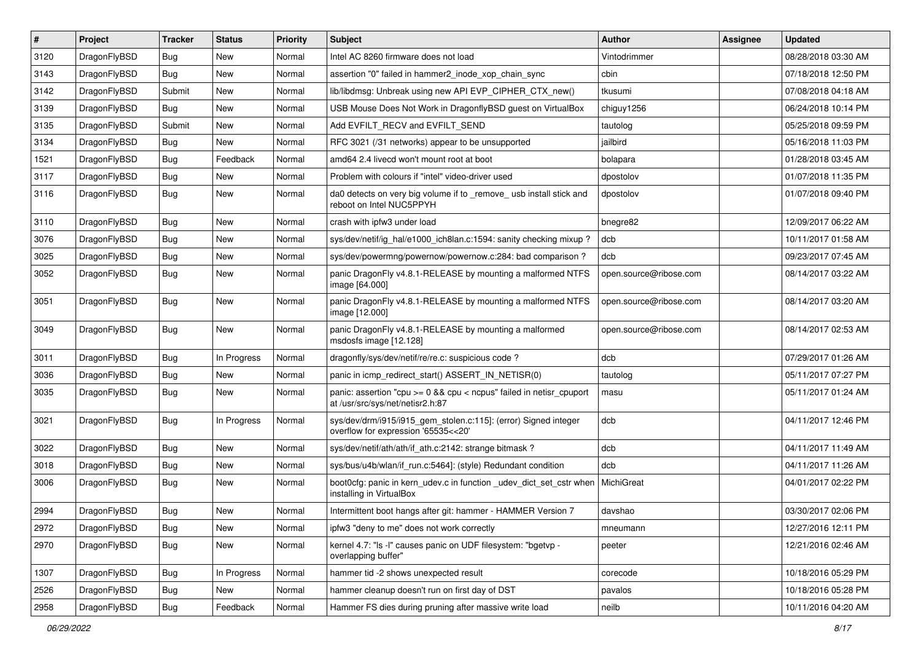| #    | Project      | <b>Tracker</b> | <b>Status</b> | <b>Priority</b> | Subject                                                                                                 | <b>Author</b>          | Assignee | <b>Updated</b>      |
|------|--------------|----------------|---------------|-----------------|---------------------------------------------------------------------------------------------------------|------------------------|----------|---------------------|
| 3120 | DragonFlyBSD | <b>Bug</b>     | New           | Normal          | Intel AC 8260 firmware does not load                                                                    | Vintodrimmer           |          | 08/28/2018 03:30 AM |
| 3143 | DragonFlyBSD | Bug            | New           | Normal          | assertion "0" failed in hammer2 inode xop chain sync                                                    | cbin                   |          | 07/18/2018 12:50 PM |
| 3142 | DragonFlyBSD | Submit         | New           | Normal          | lib/libdmsg: Unbreak using new API EVP_CIPHER_CTX_new()                                                 | tkusumi                |          | 07/08/2018 04:18 AM |
| 3139 | DragonFlyBSD | <b>Bug</b>     | New           | Normal          | USB Mouse Does Not Work in DragonflyBSD guest on VirtualBox                                             | chiguy1256             |          | 06/24/2018 10:14 PM |
| 3135 | DragonFlyBSD | Submit         | <b>New</b>    | Normal          | Add EVFILT_RECV and EVFILT_SEND                                                                         | tautolog               |          | 05/25/2018 09:59 PM |
| 3134 | DragonFlyBSD | <b>Bug</b>     | New           | Normal          | RFC 3021 (/31 networks) appear to be unsupported                                                        | jailbird               |          | 05/16/2018 11:03 PM |
| 1521 | DragonFlyBSD | Bug            | Feedback      | Normal          | amd64 2.4 livecd won't mount root at boot                                                               | bolapara               |          | 01/28/2018 03:45 AM |
| 3117 | DragonFlyBSD | <b>Bug</b>     | New           | Normal          | Problem with colours if "intel" video-driver used                                                       | dpostolov              |          | 01/07/2018 11:35 PM |
| 3116 | DragonFlyBSD | <b>Bug</b>     | New           | Normal          | da0 detects on very big volume if to _remove_ usb install stick and<br>reboot on Intel NUC5PPYH         | dpostolov              |          | 01/07/2018 09:40 PM |
| 3110 | DragonFlyBSD | Bug            | <b>New</b>    | Normal          | crash with ipfw3 under load                                                                             | bnegre82               |          | 12/09/2017 06:22 AM |
| 3076 | DragonFlyBSD | <b>Bug</b>     | New           | Normal          | sys/dev/netif/ig_hal/e1000_ich8lan.c:1594: sanity checking mixup?                                       | dcb                    |          | 10/11/2017 01:58 AM |
| 3025 | DragonFlyBSD | <b>Bug</b>     | <b>New</b>    | Normal          | sys/dev/powermng/powernow/powernow.c:284: bad comparison?                                               | dcb                    |          | 09/23/2017 07:45 AM |
| 3052 | DragonFlyBSD | <b>Bug</b>     | New           | Normal          | panic DragonFly v4.8.1-RELEASE by mounting a malformed NTFS<br>image [64.000]                           | open.source@ribose.com |          | 08/14/2017 03:22 AM |
| 3051 | DragonFlyBSD | <b>Bug</b>     | <b>New</b>    | Normal          | panic DragonFly v4.8.1-RELEASE by mounting a malformed NTFS<br>image [12.000]                           | open.source@ribose.com |          | 08/14/2017 03:20 AM |
| 3049 | DragonFlyBSD | <b>Bug</b>     | New           | Normal          | panic DragonFly v4.8.1-RELEASE by mounting a malformed<br>msdosfs image [12.128]                        | open.source@ribose.com |          | 08/14/2017 02:53 AM |
| 3011 | DragonFlyBSD | Bug            | In Progress   | Normal          | dragonfly/sys/dev/netif/re/re.c: suspicious code?                                                       | dcb                    |          | 07/29/2017 01:26 AM |
| 3036 | DragonFlyBSD | Bug            | <b>New</b>    | Normal          | panic in icmp_redirect_start() ASSERT_IN_NETISR(0)                                                      | tautolog               |          | 05/11/2017 07:27 PM |
| 3035 | DragonFlyBSD | Bug            | New           | Normal          | panic: assertion "cpu >= 0 && cpu < ncpus" failed in netisr_cpuport<br>at /usr/src/sys/net/netisr2.h:87 | masu                   |          | 05/11/2017 01:24 AM |
| 3021 | DragonFlyBSD | <b>Bug</b>     | In Progress   | Normal          | sys/dev/drm/i915/i915_gem_stolen.c:115]: (error) Signed integer<br>overflow for expression '65535<<20'  | dcb                    |          | 04/11/2017 12:46 PM |
| 3022 | DragonFlyBSD | <b>Bug</b>     | New           | Normal          | sys/dev/netif/ath/ath/if_ath.c:2142: strange bitmask?                                                   | dcb                    |          | 04/11/2017 11:49 AM |
| 3018 | DragonFlyBSD | <b>Bug</b>     | New           | Normal          | sys/bus/u4b/wlan/if_run.c:5464]: (style) Redundant condition                                            | dcb                    |          | 04/11/2017 11:26 AM |
| 3006 | DragonFlyBSD | <b>Bug</b>     | New           | Normal          | boot0cfg: panic in kern_udev.c in function _udev_dict_set_cstr when<br>installing in VirtualBox         | MichiGreat             |          | 04/01/2017 02:22 PM |
| 2994 | DragonFlyBSD | Bug            | New           | Normal          | Intermittent boot hangs after git: hammer - HAMMER Version 7                                            | davshao                |          | 03/30/2017 02:06 PM |
| 2972 | DragonFlyBSD | Bug            | New           | Normal          | ipfw3 "deny to me" does not work correctly                                                              | mneumann               |          | 12/27/2016 12:11 PM |
| 2970 | DragonFlyBSD | <b>Bug</b>     | New           | Normal          | kernel 4.7: "Is -I" causes panic on UDF filesystem: "bgetvp -<br>overlapping buffer"                    | peeter                 |          | 12/21/2016 02:46 AM |
| 1307 | DragonFlyBSD | <b>Bug</b>     | In Progress   | Normal          | hammer tid -2 shows unexpected result                                                                   | corecode               |          | 10/18/2016 05:29 PM |
| 2526 | DragonFlyBSD | Bug            | New           | Normal          | hammer cleanup doesn't run on first day of DST                                                          | pavalos                |          | 10/18/2016 05:28 PM |
| 2958 | DragonFlyBSD | Bug            | Feedback      | Normal          | Hammer FS dies during pruning after massive write load                                                  | neilb                  |          | 10/11/2016 04:20 AM |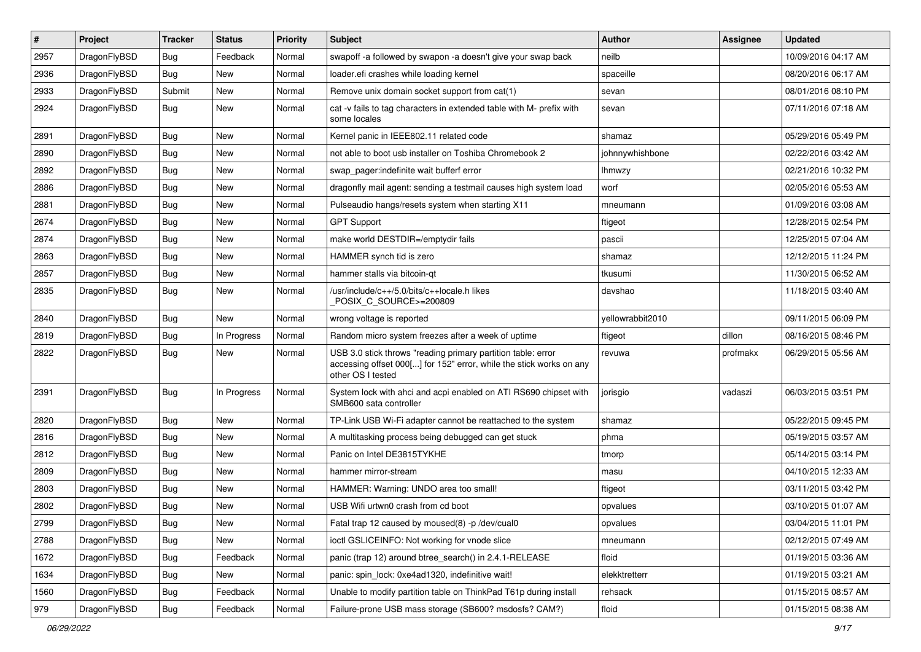| $\sharp$ | Project      | <b>Tracker</b> | <b>Status</b> | <b>Priority</b> | Subject                                                                                                                                                  | Author           | Assignee | <b>Updated</b>      |
|----------|--------------|----------------|---------------|-----------------|----------------------------------------------------------------------------------------------------------------------------------------------------------|------------------|----------|---------------------|
| 2957     | DragonFlyBSD | <b>Bug</b>     | Feedback      | Normal          | swapoff -a followed by swapon -a doesn't give your swap back                                                                                             | neilb            |          | 10/09/2016 04:17 AM |
| 2936     | DragonFlyBSD | Bug            | <b>New</b>    | Normal          | loader.efi crashes while loading kernel                                                                                                                  | spaceille        |          | 08/20/2016 06:17 AM |
| 2933     | DragonFlyBSD | Submit         | <b>New</b>    | Normal          | Remove unix domain socket support from cat(1)                                                                                                            | sevan            |          | 08/01/2016 08:10 PM |
| 2924     | DragonFlyBSD | Bug            | New           | Normal          | cat -v fails to tag characters in extended table with M- prefix with<br>some locales                                                                     | sevan            |          | 07/11/2016 07:18 AM |
| 2891     | DragonFlyBSD | Bug            | <b>New</b>    | Normal          | Kernel panic in IEEE802.11 related code                                                                                                                  | shamaz           |          | 05/29/2016 05:49 PM |
| 2890     | DragonFlyBSD | <b>Bug</b>     | <b>New</b>    | Normal          | not able to boot usb installer on Toshiba Chromebook 2                                                                                                   | johnnywhishbone  |          | 02/22/2016 03:42 AM |
| 2892     | DragonFlyBSD | <b>Bug</b>     | New           | Normal          | swap pager:indefinite wait bufferf error                                                                                                                 | <b>Ihmwzy</b>    |          | 02/21/2016 10:32 PM |
| 2886     | DragonFlyBSD | <b>Bug</b>     | New           | Normal          | dragonfly mail agent: sending a testmail causes high system load                                                                                         | worf             |          | 02/05/2016 05:53 AM |
| 2881     | DragonFlyBSD | Bug            | <b>New</b>    | Normal          | Pulseaudio hangs/resets system when starting X11                                                                                                         | mneumann         |          | 01/09/2016 03:08 AM |
| 2674     | DragonFlyBSD | <b>Bug</b>     | <b>New</b>    | Normal          | <b>GPT Support</b>                                                                                                                                       | ftigeot          |          | 12/28/2015 02:54 PM |
| 2874     | DragonFlyBSD | Bug            | New           | Normal          | make world DESTDIR=/emptydir fails                                                                                                                       | pascii           |          | 12/25/2015 07:04 AM |
| 2863     | DragonFlyBSD | <b>Bug</b>     | <b>New</b>    | Normal          | HAMMER synch tid is zero                                                                                                                                 | shamaz           |          | 12/12/2015 11:24 PM |
| 2857     | DragonFlyBSD | <b>Bug</b>     | New           | Normal          | hammer stalls via bitcoin-gt                                                                                                                             | tkusumi          |          | 11/30/2015 06:52 AM |
| 2835     | DragonFlyBSD | Bug            | <b>New</b>    | Normal          | /usr/include/c++/5.0/bits/c++locale.h likes<br>POSIX C SOURCE>=200809                                                                                    | davshao          |          | 11/18/2015 03:40 AM |
| 2840     | DragonFlyBSD | Bug            | New           | Normal          | wrong voltage is reported                                                                                                                                | yellowrabbit2010 |          | 09/11/2015 06:09 PM |
| 2819     | DragonFlyBSD | Bug            | In Progress   | Normal          | Random micro system freezes after a week of uptime                                                                                                       | ftigeot          | dillon   | 08/16/2015 08:46 PM |
| 2822     | DragonFlyBSD | <b>Bug</b>     | New           | Normal          | USB 3.0 stick throws "reading primary partition table: error<br>accessing offset 000[] for 152" error, while the stick works on any<br>other OS I tested | revuwa           | profmakx | 06/29/2015 05:56 AM |
| 2391     | DragonFlyBSD | Bug            | In Progress   | Normal          | System lock with ahci and acpi enabled on ATI RS690 chipset with<br>SMB600 sata controller                                                               | jorisgio         | vadaszi  | 06/03/2015 03:51 PM |
| 2820     | DragonFlyBSD | Bug            | <b>New</b>    | Normal          | TP-Link USB Wi-Fi adapter cannot be reattached to the system                                                                                             | shamaz           |          | 05/22/2015 09:45 PM |
| 2816     | DragonFlyBSD | <b>Bug</b>     | <b>New</b>    | Normal          | A multitasking process being debugged can get stuck                                                                                                      | phma             |          | 05/19/2015 03:57 AM |
| 2812     | DragonFlyBSD | Bug            | <b>New</b>    | Normal          | Panic on Intel DE3815TYKHE                                                                                                                               | tmorp            |          | 05/14/2015 03:14 PM |
| 2809     | DragonFlyBSD | <b>Bug</b>     | <b>New</b>    | Normal          | hammer mirror-stream                                                                                                                                     | masu             |          | 04/10/2015 12:33 AM |
| 2803     | DragonFlyBSD | <b>Bug</b>     | <b>New</b>    | Normal          | HAMMER: Warning: UNDO area too small!                                                                                                                    | ftigeot          |          | 03/11/2015 03:42 PM |
| 2802     | DragonFlyBSD | <b>Bug</b>     | New           | Normal          | USB Wifi urtwn0 crash from cd boot                                                                                                                       | opvalues         |          | 03/10/2015 01:07 AM |
| 2799     | DragonFlyBSD | <b>Bug</b>     | New           | Normal          | Fatal trap 12 caused by moused(8) -p /dev/cual0                                                                                                          | opvalues         |          | 03/04/2015 11:01 PM |
| 2788     | DragonFlyBSD | Bug            | New           | Normal          | ioctl GSLICEINFO: Not working for vnode slice                                                                                                            | mneumann         |          | 02/12/2015 07:49 AM |
| 1672     | DragonFlyBSD | <b>Bug</b>     | Feedback      | Normal          | panic (trap 12) around btree_search() in 2.4.1-RELEASE                                                                                                   | floid            |          | 01/19/2015 03:36 AM |
| 1634     | DragonFlyBSD | <b>Bug</b>     | New           | Normal          | panic: spin_lock: 0xe4ad1320, indefinitive wait!                                                                                                         | elekktretterr    |          | 01/19/2015 03:21 AM |
| 1560     | DragonFlyBSD | <b>Bug</b>     | Feedback      | Normal          | Unable to modify partition table on ThinkPad T61p during install                                                                                         | rehsack          |          | 01/15/2015 08:57 AM |
| 979      | DragonFlyBSD | <b>Bug</b>     | Feedback      | Normal          | Failure-prone USB mass storage (SB600? msdosfs? CAM?)                                                                                                    | floid            |          | 01/15/2015 08:38 AM |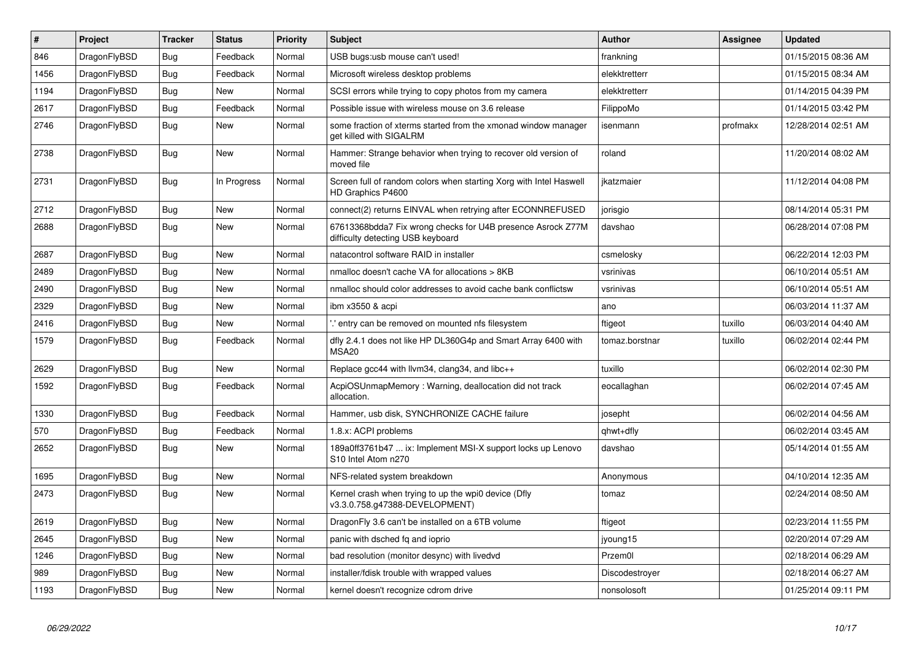| $\vert$ # | Project      | <b>Tracker</b> | <b>Status</b> | <b>Priority</b> | <b>Subject</b>                                                                                   | Author         | Assignee | <b>Updated</b>      |
|-----------|--------------|----------------|---------------|-----------------|--------------------------------------------------------------------------------------------------|----------------|----------|---------------------|
| 846       | DragonFlyBSD | Bug            | Feedback      | Normal          | USB bugs:usb mouse can't used!                                                                   | frankning      |          | 01/15/2015 08:36 AM |
| 1456      | DragonFlyBSD | <b>Bug</b>     | Feedback      | Normal          | Microsoft wireless desktop problems                                                              | elekktretterr  |          | 01/15/2015 08:34 AM |
| 1194      | DragonFlyBSD | Bug            | New           | Normal          | SCSI errors while trying to copy photos from my camera                                           | elekktretterr  |          | 01/14/2015 04:39 PM |
| 2617      | DragonFlyBSD | <b>Bug</b>     | Feedback      | Normal          | Possible issue with wireless mouse on 3.6 release                                                | FilippoMo      |          | 01/14/2015 03:42 PM |
| 2746      | DragonFlyBSD | <b>Bug</b>     | New           | Normal          | some fraction of xterms started from the xmonad window manager<br>get killed with SIGALRM        | isenmann       | profmakx | 12/28/2014 02:51 AM |
| 2738      | DragonFlyBSD | <b>Bug</b>     | <b>New</b>    | Normal          | Hammer: Strange behavior when trying to recover old version of<br>moved file                     | roland         |          | 11/20/2014 08:02 AM |
| 2731      | DragonFlyBSD | <b>Bug</b>     | In Progress   | Normal          | Screen full of random colors when starting Xorg with Intel Haswell<br>HD Graphics P4600          | jkatzmaier     |          | 11/12/2014 04:08 PM |
| 2712      | DragonFlyBSD | Bug            | <b>New</b>    | Normal          | connect(2) returns EINVAL when retrying after ECONNREFUSED                                       | jorisgio       |          | 08/14/2014 05:31 PM |
| 2688      | DragonFlyBSD | <b>Bug</b>     | <b>New</b>    | Normal          | 67613368bdda7 Fix wrong checks for U4B presence Asrock Z77M<br>difficulty detecting USB keyboard | davshao        |          | 06/28/2014 07:08 PM |
| 2687      | DragonFlyBSD | Bug            | <b>New</b>    | Normal          | natacontrol software RAID in installer                                                           | csmelosky      |          | 06/22/2014 12:03 PM |
| 2489      | DragonFlyBSD | Bug            | <b>New</b>    | Normal          | nmalloc doesn't cache VA for allocations > 8KB                                                   | vsrinivas      |          | 06/10/2014 05:51 AM |
| 2490      | DragonFlyBSD | Bug            | <b>New</b>    | Normal          | nmalloc should color addresses to avoid cache bank conflictsw                                    | vsrinivas      |          | 06/10/2014 05:51 AM |
| 2329      | DragonFlyBSD | <b>Bug</b>     | <b>New</b>    | Normal          | ibm x3550 & acpi                                                                                 | ano            |          | 06/03/2014 11:37 AM |
| 2416      | DragonFlyBSD | <b>Bug</b>     | <b>New</b>    | Normal          | ".' entry can be removed on mounted nfs filesystem                                               | ftigeot        | tuxillo  | 06/03/2014 04:40 AM |
| 1579      | DragonFlyBSD | Bug            | Feedback      | Normal          | dfly 2.4.1 does not like HP DL360G4p and Smart Array 6400 with<br>MSA <sub>20</sub>              | tomaz.borstnar | tuxillo  | 06/02/2014 02:44 PM |
| 2629      | DragonFlyBSD | Bug            | <b>New</b>    | Normal          | Replace gcc44 with llvm34, clang34, and libc++                                                   | tuxillo        |          | 06/02/2014 02:30 PM |
| 1592      | DragonFlyBSD | <b>Bug</b>     | Feedback      | Normal          | AcpiOSUnmapMemory: Warning, deallocation did not track<br>allocation.                            | eocallaghan    |          | 06/02/2014 07:45 AM |
| 1330      | DragonFlyBSD | <b>Bug</b>     | Feedback      | Normal          | Hammer, usb disk, SYNCHRONIZE CACHE failure                                                      | josepht        |          | 06/02/2014 04:56 AM |
| 570       | DragonFlyBSD | <b>Bug</b>     | Feedback      | Normal          | 1.8.x: ACPI problems                                                                             | qhwt+dfly      |          | 06/02/2014 03:45 AM |
| 2652      | DragonFlyBSD | <b>Bug</b>     | <b>New</b>    | Normal          | 189a0ff3761b47  ix: Implement MSI-X support locks up Lenovo<br>S10 Intel Atom n270               | davshao        |          | 05/14/2014 01:55 AM |
| 1695      | DragonFlyBSD | <b>Bug</b>     | <b>New</b>    | Normal          | NFS-related system breakdown                                                                     | Anonymous      |          | 04/10/2014 12:35 AM |
| 2473      | DragonFlyBSD | Bug            | New           | Normal          | Kernel crash when trying to up the wpi0 device (Dfly<br>v3.3.0.758.g47388-DEVELOPMENT)           | tomaz          |          | 02/24/2014 08:50 AM |
| 2619      | DragonFlyBSD | <b>Bug</b>     | New           | Normal          | DragonFly 3.6 can't be installed on a 6TB volume                                                 | ftigeot        |          | 02/23/2014 11:55 PM |
| 2645      | DragonFlyBSD | Bug            | New           | Normal          | panic with dsched fq and ioprio                                                                  | jyoung15       |          | 02/20/2014 07:29 AM |
| 1246      | DragonFlyBSD | Bug            | New           | Normal          | bad resolution (monitor desync) with livedvd                                                     | Przem0l        |          | 02/18/2014 06:29 AM |
| 989       | DragonFlyBSD | Bug            | New           | Normal          | installer/fdisk trouble with wrapped values                                                      | Discodestroyer |          | 02/18/2014 06:27 AM |
| 1193      | DragonFlyBSD | Bug            | <b>New</b>    | Normal          | kernel doesn't recognize cdrom drive                                                             | nonsolosoft    |          | 01/25/2014 09:11 PM |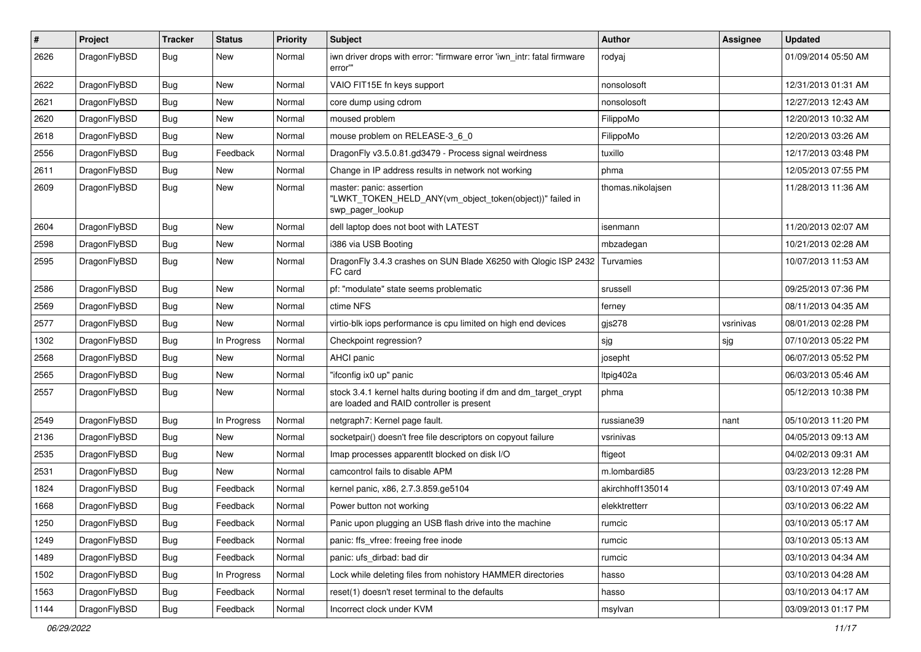| $\#$ | Project      | <b>Tracker</b> | <b>Status</b> | <b>Priority</b> | Subject                                                                                                        | Author            | Assignee  | <b>Updated</b>      |
|------|--------------|----------------|---------------|-----------------|----------------------------------------------------------------------------------------------------------------|-------------------|-----------|---------------------|
| 2626 | DragonFlyBSD | Bug            | <b>New</b>    | Normal          | iwn driver drops with error: "firmware error 'iwn intr: fatal firmware<br>error""                              | rodyaj            |           | 01/09/2014 05:50 AM |
| 2622 | DragonFlyBSD | Bug            | <b>New</b>    | Normal          | VAIO FIT15E fn keys support                                                                                    | nonsolosoft       |           | 12/31/2013 01:31 AM |
| 2621 | DragonFlyBSD | <b>Bug</b>     | New           | Normal          | core dump using cdrom                                                                                          | nonsolosoft       |           | 12/27/2013 12:43 AM |
| 2620 | DragonFlyBSD | Bug            | <b>New</b>    | Normal          | moused problem                                                                                                 | FilippoMo         |           | 12/20/2013 10:32 AM |
| 2618 | DragonFlyBSD | <b>Bug</b>     | <b>New</b>    | Normal          | mouse problem on RELEASE-3_6_0                                                                                 | FilippoMo         |           | 12/20/2013 03:26 AM |
| 2556 | DragonFlyBSD | <b>Bug</b>     | Feedback      | Normal          | DragonFly v3.5.0.81.gd3479 - Process signal weirdness                                                          | tuxillo           |           | 12/17/2013 03:48 PM |
| 2611 | DragonFlyBSD | <b>Bug</b>     | <b>New</b>    | Normal          | Change in IP address results in network not working                                                            | phma              |           | 12/05/2013 07:55 PM |
| 2609 | DragonFlyBSD | Bug            | New           | Normal          | master: panic: assertion<br>"LWKT_TOKEN_HELD_ANY(vm_object_token(object))" failed in<br>swp_pager_lookup       | thomas.nikolajsen |           | 11/28/2013 11:36 AM |
| 2604 | DragonFlyBSD | Bug            | <b>New</b>    | Normal          | dell laptop does not boot with LATEST                                                                          | isenmann          |           | 11/20/2013 02:07 AM |
| 2598 | DragonFlyBSD | Bug            | <b>New</b>    | Normal          | i386 via USB Booting                                                                                           | mbzadegan         |           | 10/21/2013 02:28 AM |
| 2595 | DragonFlyBSD | <b>Bug</b>     | New           | Normal          | DragonFly 3.4.3 crashes on SUN Blade X6250 with Qlogic ISP 2432<br>FC card                                     | Turvamies         |           | 10/07/2013 11:53 AM |
| 2586 | DragonFlyBSD | Bug            | <b>New</b>    | Normal          | pf: "modulate" state seems problematic                                                                         | srussell          |           | 09/25/2013 07:36 PM |
| 2569 | DragonFlyBSD | Bug            | <b>New</b>    | Normal          | ctime NFS                                                                                                      | ferney            |           | 08/11/2013 04:35 AM |
| 2577 | DragonFlyBSD | Bug            | <b>New</b>    | Normal          | virtio-blk iops performance is cpu limited on high end devices                                                 | gjs278            | vsrinivas | 08/01/2013 02:28 PM |
| 1302 | DragonFlyBSD | <b>Bug</b>     | In Progress   | Normal          | Checkpoint regression?                                                                                         | sjg               | sjg       | 07/10/2013 05:22 PM |
| 2568 | DragonFlyBSD | <b>Bug</b>     | New           | Normal          | AHCI panic                                                                                                     | josepht           |           | 06/07/2013 05:52 PM |
| 2565 | DragonFlyBSD | Bug            | <b>New</b>    | Normal          | "ifconfig ix0 up" panic                                                                                        | Itpig402a         |           | 06/03/2013 05:46 AM |
| 2557 | DragonFlyBSD | Bug            | New           | Normal          | stock 3.4.1 kernel halts during booting if dm and dm_target_crypt<br>are loaded and RAID controller is present | phma              |           | 05/12/2013 10:38 PM |
| 2549 | DragonFlyBSD | Bug            | In Progress   | Normal          | netgraph7: Kernel page fault.                                                                                  | russiane39        | nant      | 05/10/2013 11:20 PM |
| 2136 | DragonFlyBSD | <b>Bug</b>     | <b>New</b>    | Normal          | socketpair() doesn't free file descriptors on copyout failure                                                  | vsrinivas         |           | 04/05/2013 09:13 AM |
| 2535 | DragonFlyBSD | Bug            | <b>New</b>    | Normal          | Imap processes apparentlt blocked on disk I/O                                                                  | ftigeot           |           | 04/02/2013 09:31 AM |
| 2531 | DragonFlyBSD | <b>Bug</b>     | New           | Normal          | camcontrol fails to disable APM                                                                                | m.lombardi85      |           | 03/23/2013 12:28 PM |
| 1824 | DragonFlyBSD | <b>Bug</b>     | Feedback      | Normal          | kernel panic, x86, 2.7.3.859.ge5104                                                                            | akirchhoff135014  |           | 03/10/2013 07:49 AM |
| 1668 | DragonFlyBSD | <b>Bug</b>     | Feedback      | Normal          | Power button not working                                                                                       | elekktretterr     |           | 03/10/2013 06:22 AM |
| 1250 | DragonFlyBSD | <b>Bug</b>     | Feedback      | Normal          | Panic upon plugging an USB flash drive into the machine                                                        | rumcic            |           | 03/10/2013 05:17 AM |
| 1249 | DragonFlyBSD | <b>Bug</b>     | Feedback      | Normal          | panic: ffs vfree: freeing free inode                                                                           | rumcic            |           | 03/10/2013 05:13 AM |
| 1489 | DragonFlyBSD | <b>Bug</b>     | Feedback      | Normal          | panic: ufs dirbad: bad dir                                                                                     | rumcic            |           | 03/10/2013 04:34 AM |
| 1502 | DragonFlyBSD | <b>Bug</b>     | In Progress   | Normal          | Lock while deleting files from nohistory HAMMER directories                                                    | hasso             |           | 03/10/2013 04:28 AM |
| 1563 | DragonFlyBSD | <b>Bug</b>     | Feedback      | Normal          | reset(1) doesn't reset terminal to the defaults                                                                | hasso             |           | 03/10/2013 04:17 AM |
| 1144 | DragonFlyBSD | <b>Bug</b>     | Feedback      | Normal          | Incorrect clock under KVM                                                                                      | msylvan           |           | 03/09/2013 01:17 PM |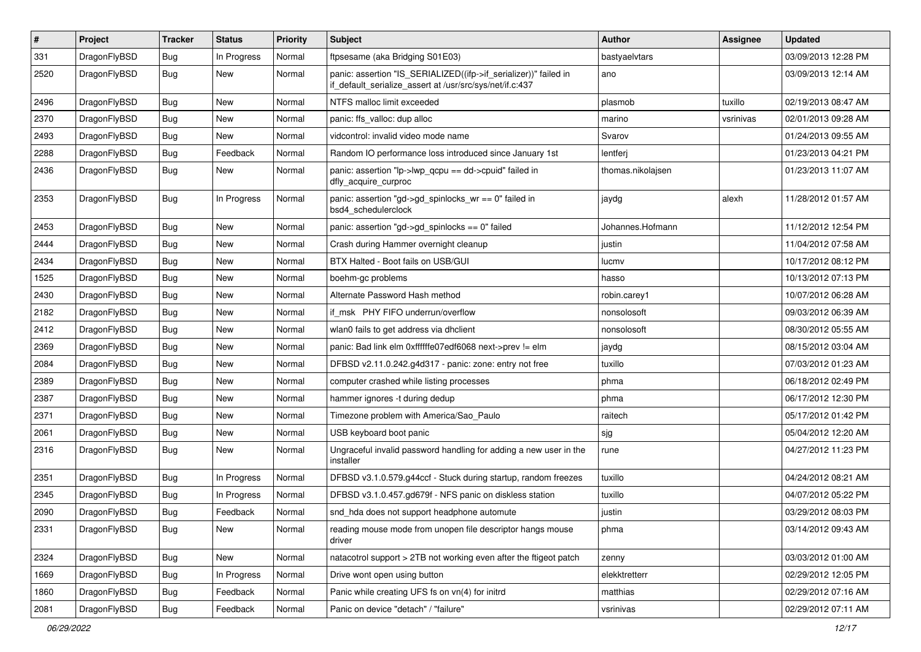| $\sharp$ | Project      | <b>Tracker</b> | <b>Status</b> | <b>Priority</b> | Subject                                                                                                                      | <b>Author</b>     | <b>Assignee</b> | <b>Updated</b>      |
|----------|--------------|----------------|---------------|-----------------|------------------------------------------------------------------------------------------------------------------------------|-------------------|-----------------|---------------------|
| 331      | DragonFlyBSD | <b>Bug</b>     | In Progress   | Normal          | ftpsesame (aka Bridging S01E03)                                                                                              | bastyaelvtars     |                 | 03/09/2013 12:28 PM |
| 2520     | DragonFlyBSD | <b>Bug</b>     | <b>New</b>    | Normal          | panic: assertion "IS_SERIALIZED((ifp->if_serializer))" failed in<br>if_default_serialize_assert at /usr/src/sys/net/if.c:437 | ano               |                 | 03/09/2013 12:14 AM |
| 2496     | DragonFlyBSD | <b>Bug</b>     | <b>New</b>    | Normal          | NTFS malloc limit exceeded                                                                                                   | plasmob           | tuxillo         | 02/19/2013 08:47 AM |
| 2370     | DragonFlyBSD | <b>Bug</b>     | New           | Normal          | panic: ffs_valloc: dup alloc                                                                                                 | marino            | vsrinivas       | 02/01/2013 09:28 AM |
| 2493     | DragonFlyBSD | <b>Bug</b>     | New           | Normal          | vidcontrol: invalid video mode name                                                                                          | Svarov            |                 | 01/24/2013 09:55 AM |
| 2288     | DragonFlyBSD | <b>Bug</b>     | Feedback      | Normal          | Random IO performance loss introduced since January 1st                                                                      | lentferj          |                 | 01/23/2013 04:21 PM |
| 2436     | DragonFlyBSD | <b>Bug</b>     | New           | Normal          | panic: assertion "lp->lwp_qcpu == dd->cpuid" failed in<br>dfly_acquire_curproc                                               | thomas.nikolajsen |                 | 01/23/2013 11:07 AM |
| 2353     | DragonFlyBSD | <b>Bug</b>     | In Progress   | Normal          | panic: assertion "gd->gd_spinlocks_wr == 0" failed in<br>bsd4_schedulerclock                                                 | jaydg             | alexh           | 11/28/2012 01:57 AM |
| 2453     | DragonFlyBSD | <b>Bug</b>     | New           | Normal          | panic: assertion "gd->gd_spinlocks == 0" failed                                                                              | Johannes.Hofmann  |                 | 11/12/2012 12:54 PM |
| 2444     | DragonFlyBSD | <b>Bug</b>     | <b>New</b>    | Normal          | Crash during Hammer overnight cleanup                                                                                        | justin            |                 | 11/04/2012 07:58 AM |
| 2434     | DragonFlyBSD | <b>Bug</b>     | New           | Normal          | BTX Halted - Boot fails on USB/GUI                                                                                           | lucmv             |                 | 10/17/2012 08:12 PM |
| 1525     | DragonFlyBSD | <b>Bug</b>     | <b>New</b>    | Normal          | boehm-gc problems                                                                                                            | hasso             |                 | 10/13/2012 07:13 PM |
| 2430     | DragonFlyBSD | <b>Bug</b>     | New           | Normal          | Alternate Password Hash method                                                                                               | robin.carey1      |                 | 10/07/2012 06:28 AM |
| 2182     | DragonFlyBSD | <b>Bug</b>     | <b>New</b>    | Normal          | if msk PHY FIFO underrun/overflow                                                                                            | nonsolosoft       |                 | 09/03/2012 06:39 AM |
| 2412     | DragonFlyBSD | <b>Bug</b>     | New           | Normal          | wlan0 fails to get address via dhclient                                                                                      | nonsolosoft       |                 | 08/30/2012 05:55 AM |
| 2369     | DragonFlyBSD | <b>Bug</b>     | <b>New</b>    | Normal          | panic: Bad link elm 0xffffffe07edf6068 next->prev != elm                                                                     | jaydg             |                 | 08/15/2012 03:04 AM |
| 2084     | DragonFlyBSD | <b>Bug</b>     | New           | Normal          | DFBSD v2.11.0.242.g4d317 - panic: zone: entry not free                                                                       | tuxillo           |                 | 07/03/2012 01:23 AM |
| 2389     | DragonFlyBSD | <b>Bug</b>     | <b>New</b>    | Normal          | computer crashed while listing processes                                                                                     | phma              |                 | 06/18/2012 02:49 PM |
| 2387     | DragonFlyBSD | <b>Bug</b>     | New           | Normal          | hammer ignores -t during dedup                                                                                               | phma              |                 | 06/17/2012 12:30 PM |
| 2371     | DragonFlyBSD | Bug            | New           | Normal          | Timezone problem with America/Sao_Paulo                                                                                      | raitech           |                 | 05/17/2012 01:42 PM |
| 2061     | DragonFlyBSD | Bug            | <b>New</b>    | Normal          | USB keyboard boot panic                                                                                                      | sjg               |                 | 05/04/2012 12:20 AM |
| 2316     | DragonFlyBSD | Bug            | New           | Normal          | Ungraceful invalid password handling for adding a new user in the<br>installer                                               | rune              |                 | 04/27/2012 11:23 PM |
| 2351     | DragonFlyBSD | Bug            | In Progress   | Normal          | DFBSD v3.1.0.579.g44ccf - Stuck during startup, random freezes                                                               | tuxillo           |                 | 04/24/2012 08:21 AM |
| 2345     | DragonFlyBSD | Bug            | In Progress   | Normal          | DFBSD v3.1.0.457.gd679f - NFS panic on diskless station                                                                      | tuxillo           |                 | 04/07/2012 05:22 PM |
| 2090     | DragonFlyBSD | Bug            | Feedback      | Normal          | snd_hda does not support headphone automute                                                                                  | justin            |                 | 03/29/2012 08:03 PM |
| 2331     | DragonFlyBSD | Bug            | New           | Normal          | reading mouse mode from unopen file descriptor hangs mouse<br>driver                                                         | phma              |                 | 03/14/2012 09:43 AM |
| 2324     | DragonFlyBSD | <b>Bug</b>     | New           | Normal          | natacotrol support > 2TB not working even after the ftigeot patch                                                            | zenny             |                 | 03/03/2012 01:00 AM |
| 1669     | DragonFlyBSD | <b>Bug</b>     | In Progress   | Normal          | Drive wont open using button                                                                                                 | elekktretterr     |                 | 02/29/2012 12:05 PM |
| 1860     | DragonFlyBSD | <b>Bug</b>     | Feedback      | Normal          | Panic while creating UFS fs on vn(4) for initrd                                                                              | matthias          |                 | 02/29/2012 07:16 AM |
| 2081     | DragonFlyBSD | <b>Bug</b>     | Feedback      | Normal          | Panic on device "detach" / "failure"                                                                                         | vsrinivas         |                 | 02/29/2012 07:11 AM |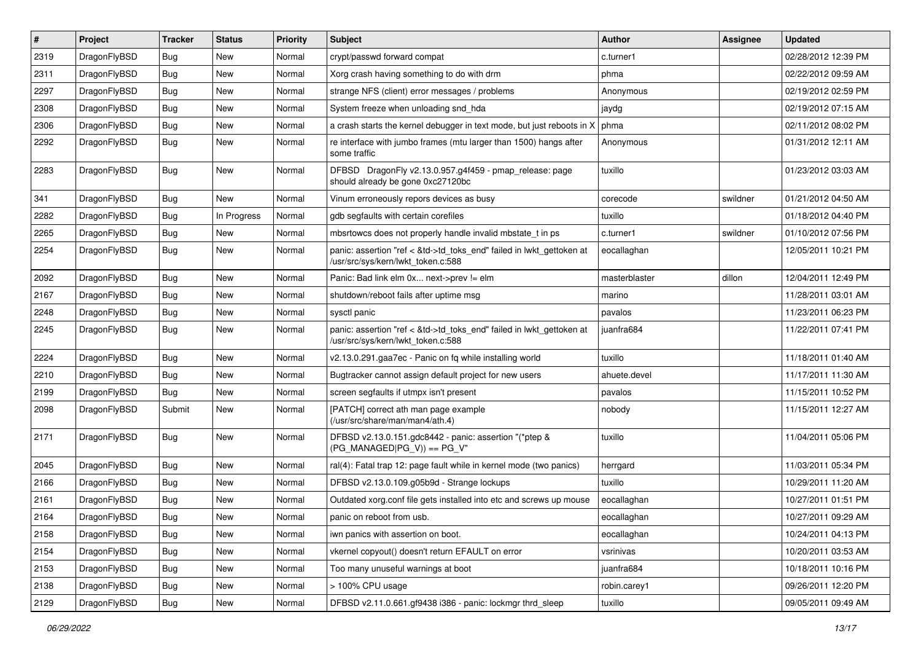| $\vert$ # | Project      | <b>Tracker</b> | <b>Status</b> | <b>Priority</b> | <b>Subject</b>                                                                                             | <b>Author</b> | Assignee | <b>Updated</b>      |
|-----------|--------------|----------------|---------------|-----------------|------------------------------------------------------------------------------------------------------------|---------------|----------|---------------------|
| 2319      | DragonFlyBSD | <b>Bug</b>     | <b>New</b>    | Normal          | crypt/passwd forward compat                                                                                | c.turner1     |          | 02/28/2012 12:39 PM |
| 2311      | DragonFlyBSD | <b>Bug</b>     | <b>New</b>    | Normal          | Xorg crash having something to do with drm                                                                 | phma          |          | 02/22/2012 09:59 AM |
| 2297      | DragonFlyBSD | <b>Bug</b>     | <b>New</b>    | Normal          | strange NFS (client) error messages / problems                                                             | Anonymous     |          | 02/19/2012 02:59 PM |
| 2308      | DragonFlyBSD | Bug            | <b>New</b>    | Normal          | System freeze when unloading snd hda                                                                       | jaydg         |          | 02/19/2012 07:15 AM |
| 2306      | DragonFlyBSD | <b>Bug</b>     | <b>New</b>    | Normal          | a crash starts the kernel debugger in text mode, but just reboots in X                                     | phma          |          | 02/11/2012 08:02 PM |
| 2292      | DragonFlyBSD | Bug            | New           | Normal          | re interface with jumbo frames (mtu larger than 1500) hangs after<br>some traffic                          | Anonymous     |          | 01/31/2012 12:11 AM |
| 2283      | DragonFlyBSD | <b>Bug</b>     | New           | Normal          | DFBSD DragonFly v2.13.0.957.g4f459 - pmap_release: page<br>should already be gone 0xc27120bc               | tuxillo       |          | 01/23/2012 03:03 AM |
| 341       | DragonFlyBSD | <b>Bug</b>     | <b>New</b>    | Normal          | Vinum erroneously repors devices as busy                                                                   | corecode      | swildner | 01/21/2012 04:50 AM |
| 2282      | DragonFlyBSD | <b>Bug</b>     | In Progress   | Normal          | gdb segfaults with certain corefiles                                                                       | tuxillo       |          | 01/18/2012 04:40 PM |
| 2265      | DragonFlyBSD | Bug            | <b>New</b>    | Normal          | mbsrtowcs does not properly handle invalid mbstate_t in ps                                                 | c.turner1     | swildner | 01/10/2012 07:56 PM |
| 2254      | DragonFlyBSD | Bug            | New           | Normal          | panic: assertion "ref < &td->td_toks_end" failed in lwkt_gettoken at<br>/usr/src/sys/kern/lwkt_token.c:588 | eocallaghan   |          | 12/05/2011 10:21 PM |
| 2092      | DragonFlyBSD | Bug            | <b>New</b>    | Normal          | Panic: Bad link elm 0x next->prev != elm                                                                   | masterblaster | dillon   | 12/04/2011 12:49 PM |
| 2167      | DragonFlyBSD | <b>Bug</b>     | New           | Normal          | shutdown/reboot fails after uptime msq                                                                     | marino        |          | 11/28/2011 03:01 AM |
| 2248      | DragonFlyBSD | Bug            | <b>New</b>    | Normal          | sysctl panic                                                                                               | pavalos       |          | 11/23/2011 06:23 PM |
| 2245      | DragonFlyBSD | Bug            | New           | Normal          | panic: assertion "ref < &td->td_toks_end" failed in lwkt_gettoken at<br>/usr/src/sys/kern/lwkt_token.c:588 | juanfra684    |          | 11/22/2011 07:41 PM |
| 2224      | DragonFlyBSD | Bug            | <b>New</b>    | Normal          | v2.13.0.291.gaa7ec - Panic on fq while installing world                                                    | tuxillo       |          | 11/18/2011 01:40 AM |
| 2210      | DragonFlyBSD | Bug            | <b>New</b>    | Normal          | Bugtracker cannot assign default project for new users                                                     | ahuete.devel  |          | 11/17/2011 11:30 AM |
| 2199      | DragonFlyBSD | <b>Bug</b>     | <b>New</b>    | Normal          | screen segfaults if utmpx isn't present                                                                    | pavalos       |          | 11/15/2011 10:52 PM |
| 2098      | DragonFlyBSD | Submit         | <b>New</b>    | Normal          | [PATCH] correct ath man page example<br>(/usr/src/share/man/man4/ath.4)                                    | nobody        |          | 11/15/2011 12:27 AM |
| 2171      | DragonFlyBSD | Bug            | <b>New</b>    | Normal          | DFBSD v2.13.0.151.gdc8442 - panic: assertion "(*ptep &<br>$(PG_MANAGED PG_V)) == PG_V"$                    | tuxillo       |          | 11/04/2011 05:06 PM |
| 2045      | DragonFlyBSD | <b>Bug</b>     | <b>New</b>    | Normal          | ral(4): Fatal trap 12: page fault while in kernel mode (two panics)                                        | herrgard      |          | 11/03/2011 05:34 PM |
| 2166      | DragonFlyBSD | Bug            | <b>New</b>    | Normal          | DFBSD v2.13.0.109.g05b9d - Strange lockups                                                                 | tuxillo       |          | 10/29/2011 11:20 AM |
| 2161      | DragonFlyBSD | <b>Bug</b>     | <b>New</b>    | Normal          | Outdated xorg.conf file gets installed into etc and screws up mouse                                        | eocallaghan   |          | 10/27/2011 01:51 PM |
| 2164      | DragonFlvBSD | Bug            | New           | Normal          | panic on reboot from usb.                                                                                  | eocallaghan   |          | 10/27/2011 09:29 AM |
| 2158      | DragonFlyBSD | Bug            | New           | Normal          | iwn panics with assertion on boot.                                                                         | eocallaghan   |          | 10/24/2011 04:13 PM |
| 2154      | DragonFlyBSD | <b>Bug</b>     | New           | Normal          | vkernel copyout() doesn't return EFAULT on error                                                           | vsrinivas     |          | 10/20/2011 03:53 AM |
| 2153      | DragonFlyBSD | <b>Bug</b>     | New           | Normal          | Too many unuseful warnings at boot                                                                         | juanfra684    |          | 10/18/2011 10:16 PM |
| 2138      | DragonFlyBSD | Bug            | New           | Normal          | > 100% CPU usage                                                                                           | robin.carey1  |          | 09/26/2011 12:20 PM |
| 2129      | DragonFlyBSD | Bug            | New           | Normal          | DFBSD v2.11.0.661.gf9438 i386 - panic: lockmgr thrd_sleep                                                  | tuxillo       |          | 09/05/2011 09:49 AM |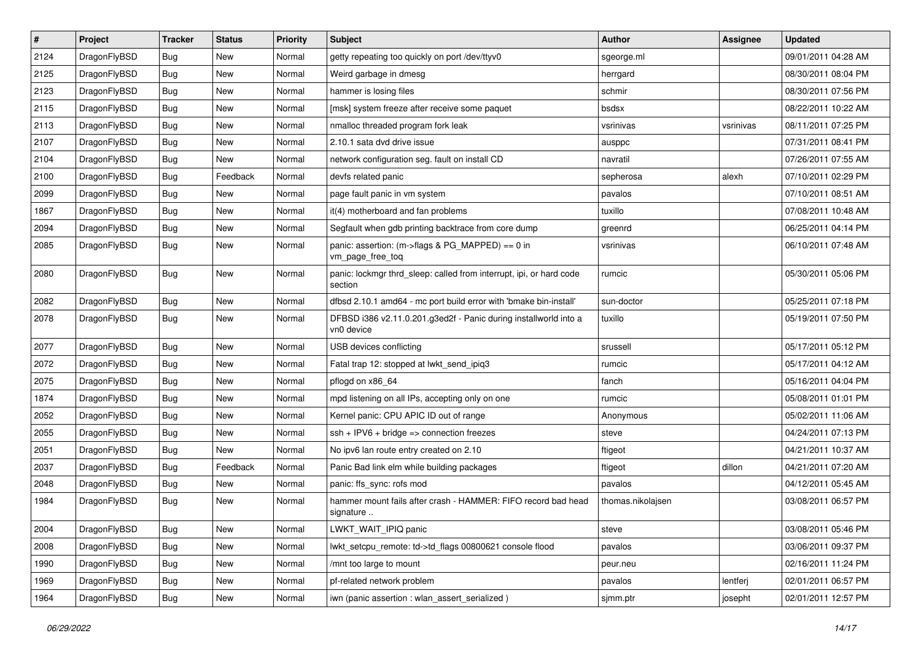| $\sharp$ | Project      | <b>Tracker</b> | <b>Status</b> | <b>Priority</b> | Subject                                                                        | <b>Author</b>     | Assignee  | <b>Updated</b>      |
|----------|--------------|----------------|---------------|-----------------|--------------------------------------------------------------------------------|-------------------|-----------|---------------------|
| 2124     | DragonFlyBSD | <b>Bug</b>     | New           | Normal          | getty repeating too quickly on port /dev/ttyv0                                 | sgeorge.ml        |           | 09/01/2011 04:28 AM |
| 2125     | DragonFlyBSD | Bug            | New           | Normal          | Weird garbage in dmesg                                                         | herrgard          |           | 08/30/2011 08:04 PM |
| 2123     | DragonFlyBSD | <b>Bug</b>     | New           | Normal          | hammer is losing files                                                         | schmir            |           | 08/30/2011 07:56 PM |
| 2115     | DragonFlyBSD | <b>Bug</b>     | New           | Normal          | [msk] system freeze after receive some paquet                                  | bsdsx             |           | 08/22/2011 10:22 AM |
| 2113     | DragonFlyBSD | Bug            | <b>New</b>    | Normal          | nmalloc threaded program fork leak                                             | vsrinivas         | vsrinivas | 08/11/2011 07:25 PM |
| 2107     | DragonFlyBSD | <b>Bug</b>     | <b>New</b>    | Normal          | 2.10.1 sata dvd drive issue                                                    | ausppc            |           | 07/31/2011 08:41 PM |
| 2104     | DragonFlyBSD | Bug            | New           | Normal          | network configuration seg. fault on install CD                                 | navratil          |           | 07/26/2011 07:55 AM |
| 2100     | DragonFlyBSD | <b>Bug</b>     | Feedback      | Normal          | devfs related panic                                                            | sepherosa         | alexh     | 07/10/2011 02:29 PM |
| 2099     | DragonFlyBSD | <b>Bug</b>     | <b>New</b>    | Normal          | page fault panic in vm system                                                  | pavalos           |           | 07/10/2011 08:51 AM |
| 1867     | DragonFlyBSD | Bug            | New           | Normal          | it(4) motherboard and fan problems                                             | tuxillo           |           | 07/08/2011 10:48 AM |
| 2094     | DragonFlyBSD | <b>Bug</b>     | New           | Normal          | Segfault when gdb printing backtrace from core dump                            | greenrd           |           | 06/25/2011 04:14 PM |
| 2085     | DragonFlyBSD | <b>Bug</b>     | <b>New</b>    | Normal          | panic: assertion: (m->flags & PG_MAPPED) == 0 in<br>vm_page_free_toq           | vsrinivas         |           | 06/10/2011 07:48 AM |
| 2080     | DragonFlyBSD | Bug            | New           | Normal          | panic: lockmgr thrd_sleep: called from interrupt, ipi, or hard code<br>section | rumcic            |           | 05/30/2011 05:06 PM |
| 2082     | DragonFlyBSD | Bug            | <b>New</b>    | Normal          | dfbsd 2.10.1 amd64 - mc port build error with 'bmake bin-install'              | sun-doctor        |           | 05/25/2011 07:18 PM |
| 2078     | DragonFlyBSD | <b>Bug</b>     | <b>New</b>    | Normal          | DFBSD i386 v2.11.0.201.g3ed2f - Panic during installworld into a<br>vn0 device | tuxillo           |           | 05/19/2011 07:50 PM |
| 2077     | DragonFlyBSD | Bug            | <b>New</b>    | Normal          | USB devices conflicting                                                        | srussell          |           | 05/17/2011 05:12 PM |
| 2072     | DragonFlyBSD | <b>Bug</b>     | New           | Normal          | Fatal trap 12: stopped at lwkt_send_ipiq3                                      | rumcic            |           | 05/17/2011 04:12 AM |
| 2075     | DragonFlyBSD | <b>Bug</b>     | New           | Normal          | pflogd on x86 64                                                               | fanch             |           | 05/16/2011 04:04 PM |
| 1874     | DragonFlyBSD | <b>Bug</b>     | <b>New</b>    | Normal          | mpd listening on all IPs, accepting only on one                                | rumcic            |           | 05/08/2011 01:01 PM |
| 2052     | DragonFlyBSD | Bug            | <b>New</b>    | Normal          | Kernel panic: CPU APIC ID out of range                                         | Anonymous         |           | 05/02/2011 11:06 AM |
| 2055     | DragonFlyBSD | <b>Bug</b>     | <b>New</b>    | Normal          | $ssh + IPV6 + bridge \Rightarrow connection freezes$                           | steve             |           | 04/24/2011 07:13 PM |
| 2051     | DragonFlyBSD | <b>Bug</b>     | New           | Normal          | No ipv6 lan route entry created on 2.10                                        | ftigeot           |           | 04/21/2011 10:37 AM |
| 2037     | DragonFlyBSD | Bug            | Feedback      | Normal          | Panic Bad link elm while building packages                                     | ftigeot           | dillon    | 04/21/2011 07:20 AM |
| 2048     | DragonFlyBSD | <b>Bug</b>     | New           | Normal          | panic: ffs sync: rofs mod                                                      | pavalos           |           | 04/12/2011 05:45 AM |
| 1984     | DragonFlyBSD | <b>Bug</b>     | New           | Normal          | hammer mount fails after crash - HAMMER: FIFO record bad head<br>signature     | thomas.nikolajsen |           | 03/08/2011 06:57 PM |
| 2004     | DragonFlyBSD | <b>Bug</b>     | New           | Normal          | LWKT_WAIT_IPIQ panic                                                           | steve             |           | 03/08/2011 05:46 PM |
| 2008     | DragonFlyBSD | <b>Bug</b>     | New           | Normal          | lwkt_setcpu_remote: td->td_flags 00800621 console flood                        | pavalos           |           | 03/06/2011 09:37 PM |
| 1990     | DragonFlyBSD | <b>Bug</b>     | New           | Normal          | /mnt too large to mount                                                        | peur.neu          |           | 02/16/2011 11:24 PM |
| 1969     | DragonFlyBSD | <b>Bug</b>     | New           | Normal          | pf-related network problem                                                     | pavalos           | lentferj  | 02/01/2011 06:57 PM |
| 1964     | DragonFlyBSD | <b>Bug</b>     | New           | Normal          | iwn (panic assertion : wlan_assert_serialized)                                 | sjmm.ptr          | josepht   | 02/01/2011 12:57 PM |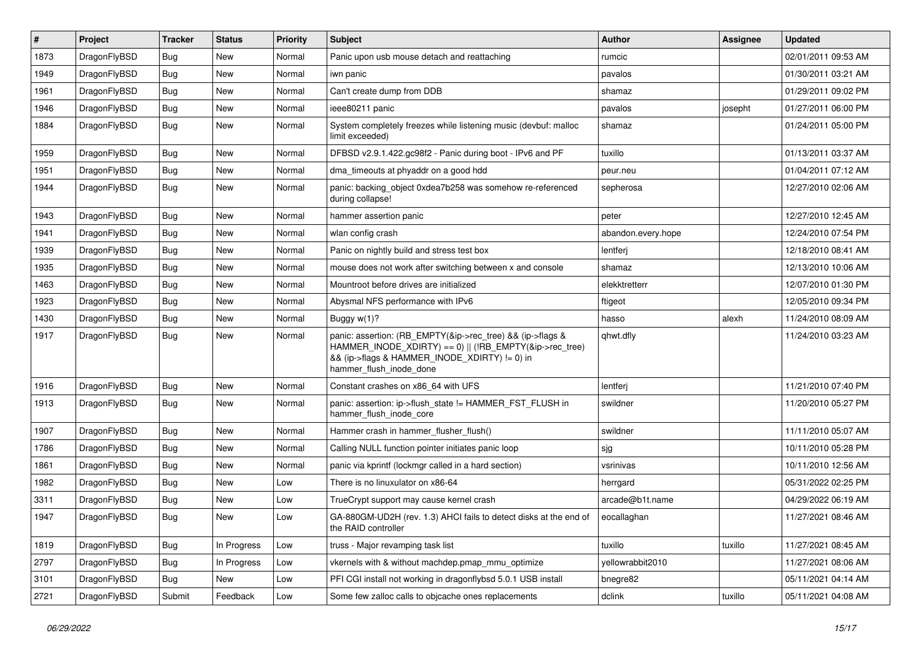| #    | Project      | Tracker    | <b>Status</b> | <b>Priority</b> | Subject                                                                                                                                                                                           | Author             | Assignee | <b>Updated</b>      |
|------|--------------|------------|---------------|-----------------|---------------------------------------------------------------------------------------------------------------------------------------------------------------------------------------------------|--------------------|----------|---------------------|
| 1873 | DragonFlyBSD | <b>Bug</b> | <b>New</b>    | Normal          | Panic upon usb mouse detach and reattaching                                                                                                                                                       | rumcic             |          | 02/01/2011 09:53 AM |
| 1949 | DragonFlyBSD | Bug        | New           | Normal          | iwn panic                                                                                                                                                                                         | pavalos            |          | 01/30/2011 03:21 AM |
| 1961 | DragonFlyBSD | <b>Bug</b> | New           | Normal          | Can't create dump from DDB                                                                                                                                                                        | shamaz             |          | 01/29/2011 09:02 PM |
| 1946 | DragonFlyBSD | <b>Bug</b> | New           | Normal          | ieee80211 panic                                                                                                                                                                                   | pavalos            | josepht  | 01/27/2011 06:00 PM |
| 1884 | DragonFlyBSD | <b>Bug</b> | <b>New</b>    | Normal          | System completely freezes while listening music (devbuf: malloc<br>limit exceeded)                                                                                                                | shamaz             |          | 01/24/2011 05:00 PM |
| 1959 | DragonFlyBSD | Bug        | <b>New</b>    | Normal          | DFBSD v2.9.1.422.gc98f2 - Panic during boot - IPv6 and PF                                                                                                                                         | tuxillo            |          | 01/13/2011 03:37 AM |
| 1951 | DragonFlyBSD | Bug        | New           | Normal          | dma timeouts at phyaddr on a good hdd                                                                                                                                                             | peur.neu           |          | 01/04/2011 07:12 AM |
| 1944 | DragonFlyBSD | Bug        | New           | Normal          | panic: backing object 0xdea7b258 was somehow re-referenced<br>during collapse!                                                                                                                    | sepherosa          |          | 12/27/2010 02:06 AM |
| 1943 | DragonFlyBSD | <b>Bug</b> | New           | Normal          | hammer assertion panic                                                                                                                                                                            | peter              |          | 12/27/2010 12:45 AM |
| 1941 | DragonFlyBSD | <b>Bug</b> | <b>New</b>    | Normal          | wlan config crash                                                                                                                                                                                 | abandon.every.hope |          | 12/24/2010 07:54 PM |
| 1939 | DragonFlyBSD | Bug        | <b>New</b>    | Normal          | Panic on nightly build and stress test box                                                                                                                                                        | lentferj           |          | 12/18/2010 08:41 AM |
| 1935 | DragonFlyBSD | <b>Bug</b> | New           | Normal          | mouse does not work after switching between x and console                                                                                                                                         | shamaz             |          | 12/13/2010 10:06 AM |
| 1463 | DragonFlyBSD | <b>Bug</b> | New           | Normal          | Mountroot before drives are initialized                                                                                                                                                           | elekktretterr      |          | 12/07/2010 01:30 PM |
| 1923 | DragonFlyBSD | Bug        | New           | Normal          | Abysmal NFS performance with IPv6                                                                                                                                                                 | ftigeot            |          | 12/05/2010 09:34 PM |
| 1430 | DragonFlyBSD | <b>Bug</b> | New           | Normal          | Buggy w(1)?                                                                                                                                                                                       | hasso              | alexh    | 11/24/2010 08:09 AM |
| 1917 | DragonFlyBSD | <b>Bug</b> | New           | Normal          | panic: assertion: (RB_EMPTY(&ip->rec_tree) && (ip->flags &<br>HAMMER INODE XDIRTY) == 0)    (!RB EMPTY(&ip->rec tree)<br>&& (ip->flags & HAMMER_INODE_XDIRTY) != 0) in<br>hammer_flush_inode_done | qhwt.dfly          |          | 11/24/2010 03:23 AM |
| 1916 | DragonFlyBSD | <b>Bug</b> | New           | Normal          | Constant crashes on x86 64 with UFS                                                                                                                                                               | lentferj           |          | 11/21/2010 07:40 PM |
| 1913 | DragonFlyBSD | <b>Bug</b> | New           | Normal          | panic: assertion: ip->flush_state != HAMMER_FST_FLUSH in<br>hammer_flush_inode_core                                                                                                               | swildner           |          | 11/20/2010 05:27 PM |
| 1907 | DragonFlyBSD | <b>Bug</b> | <b>New</b>    | Normal          | Hammer crash in hammer flusher flush()                                                                                                                                                            | swildner           |          | 11/11/2010 05:07 AM |
| 1786 | DragonFlyBSD | <b>Bug</b> | New           | Normal          | Calling NULL function pointer initiates panic loop                                                                                                                                                | sjg                |          | 10/11/2010 05:28 PM |
| 1861 | DragonFlyBSD | <b>Bug</b> | New           | Normal          | panic via kprintf (lockmgr called in a hard section)                                                                                                                                              | vsrinivas          |          | 10/11/2010 12:56 AM |
| 1982 | DragonFlyBSD | <b>Bug</b> | New           | Low             | There is no linuxulator on x86-64                                                                                                                                                                 | herrgard           |          | 05/31/2022 02:25 PM |
| 3311 | DragonFlyBSD | Bug        | New           | Low             | TrueCrypt support may cause kernel crash                                                                                                                                                          | arcade@b1t.name    |          | 04/29/2022 06:19 AM |
| 1947 | DragonFlyBSD | <b>Bug</b> | New           | Low             | GA-880GM-UD2H (rev. 1.3) AHCI fails to detect disks at the end of<br>the RAID controller                                                                                                          | eocallaghan        |          | 11/27/2021 08:46 AM |
| 1819 | DragonFlyBSD | <b>Bug</b> | In Progress   | Low             | truss - Major revamping task list                                                                                                                                                                 | tuxillo            | tuxillo  | 11/27/2021 08:45 AM |
| 2797 | DragonFlyBSD | <b>Bug</b> | In Progress   | Low             | vkernels with & without machdep.pmap_mmu_optimize                                                                                                                                                 | yellowrabbit2010   |          | 11/27/2021 08:06 AM |
| 3101 | DragonFlyBSD | Bug        | New           | Low             | PFI CGI install not working in dragonflybsd 5.0.1 USB install                                                                                                                                     | bnegre82           |          | 05/11/2021 04:14 AM |
| 2721 | DragonFlyBSD | Submit     | Feedback      | Low             | Some few zalloc calls to objcache ones replacements                                                                                                                                               | dclink             | tuxillo  | 05/11/2021 04:08 AM |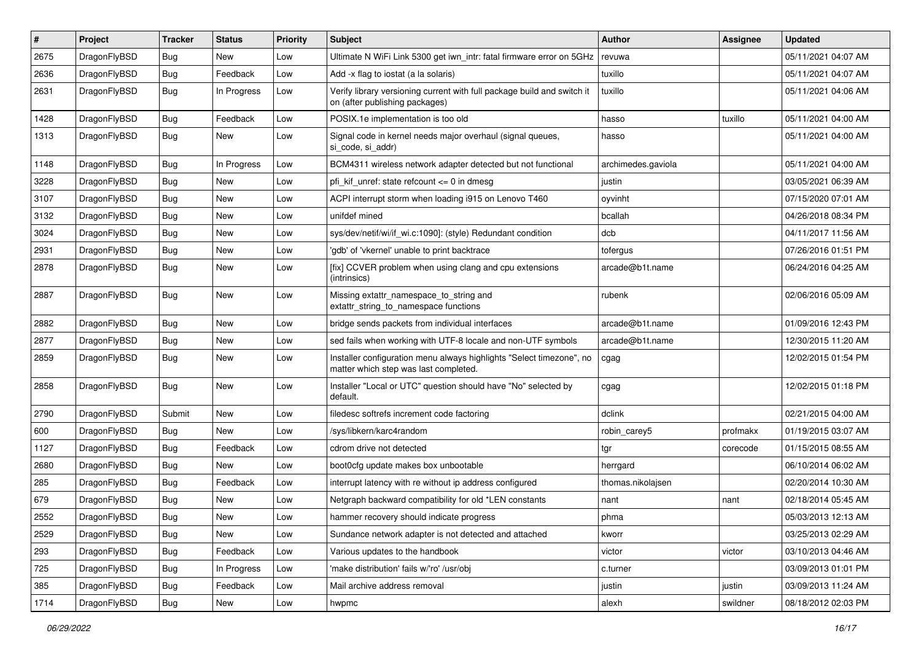| $\sharp$ | Project      | <b>Tracker</b> | <b>Status</b> | <b>Priority</b> | Subject                                                                                                       | <b>Author</b>      | Assignee | <b>Updated</b>      |
|----------|--------------|----------------|---------------|-----------------|---------------------------------------------------------------------------------------------------------------|--------------------|----------|---------------------|
| 2675     | DragonFlyBSD | <b>Bug</b>     | New           | Low             | Ultimate N WiFi Link 5300 get iwn_intr: fatal firmware error on 5GHz                                          | revuwa             |          | 05/11/2021 04:07 AM |
| 2636     | DragonFlyBSD | Bug            | Feedback      | Low             | Add -x flag to iostat (a la solaris)                                                                          | tuxillo            |          | 05/11/2021 04:07 AM |
| 2631     | DragonFlyBSD | <b>Bug</b>     | In Progress   | Low             | Verify library versioning current with full package build and switch it<br>on (after publishing packages)     | tuxillo            |          | 05/11/2021 04:06 AM |
| 1428     | DragonFlyBSD | Bug            | Feedback      | Low             | POSIX.1e implementation is too old                                                                            | hasso              | tuxillo  | 05/11/2021 04:00 AM |
| 1313     | DragonFlyBSD | <b>Bug</b>     | New           | Low             | Signal code in kernel needs major overhaul (signal queues,<br>si_code, si_addr)                               | hasso              |          | 05/11/2021 04:00 AM |
| 1148     | DragonFlyBSD | Bug            | In Progress   | Low             | BCM4311 wireless network adapter detected but not functional                                                  | archimedes.gaviola |          | 05/11/2021 04:00 AM |
| 3228     | DragonFlyBSD | <b>Bug</b>     | <b>New</b>    | Low             | pfi_kif_unref: state refcount <= 0 in dmesg                                                                   | justin             |          | 03/05/2021 06:39 AM |
| 3107     | DragonFlyBSD | Bug            | New           | Low             | ACPI interrupt storm when loading i915 on Lenovo T460                                                         | oyvinht            |          | 07/15/2020 07:01 AM |
| 3132     | DragonFlyBSD | <b>Bug</b>     | <b>New</b>    | Low             | unifdef mined                                                                                                 | bcallah            |          | 04/26/2018 08:34 PM |
| 3024     | DragonFlyBSD | <b>Bug</b>     | New           | Low             | sys/dev/netif/wi/if_wi.c:1090]: (style) Redundant condition                                                   | dcb                |          | 04/11/2017 11:56 AM |
| 2931     | DragonFlyBSD | Bug            | New           | Low             | 'gdb' of 'vkernel' unable to print backtrace                                                                  | tofergus           |          | 07/26/2016 01:51 PM |
| 2878     | DragonFlyBSD | <b>Bug</b>     | New           | Low             | [fix] CCVER problem when using clang and cpu extensions<br>(intrinsics)                                       | arcade@b1t.name    |          | 06/24/2016 04:25 AM |
| 2887     | DragonFlyBSD | Bug            | <b>New</b>    | Low             | Missing extattr_namespace_to_string and<br>extattr_string_to_namespace functions                              | rubenk             |          | 02/06/2016 05:09 AM |
| 2882     | DragonFlyBSD | Bug            | New           | Low             | bridge sends packets from individual interfaces                                                               | arcade@b1t.name    |          | 01/09/2016 12:43 PM |
| 2877     | DragonFlyBSD | <b>Bug</b>     | <b>New</b>    | Low             | sed fails when working with UTF-8 locale and non-UTF symbols                                                  | arcade@b1t.name    |          | 12/30/2015 11:20 AM |
| 2859     | DragonFlyBSD | <b>Bug</b>     | New           | Low             | Installer configuration menu always highlights "Select timezone", no<br>matter which step was last completed. | cgag               |          | 12/02/2015 01:54 PM |
| 2858     | DragonFlyBSD | Bug            | New           | Low             | Installer "Local or UTC" question should have "No" selected by<br>default.                                    | cgag               |          | 12/02/2015 01:18 PM |
| 2790     | DragonFlyBSD | Submit         | <b>New</b>    | Low             | filedesc softrefs increment code factoring                                                                    | dclink             |          | 02/21/2015 04:00 AM |
| 600      | DragonFlyBSD | <b>Bug</b>     | New           | Low             | /sys/libkern/karc4random                                                                                      | robin_carey5       | profmakx | 01/19/2015 03:07 AM |
| 1127     | DragonFlyBSD | Bug            | Feedback      | Low             | cdrom drive not detected                                                                                      | tgr                | corecode | 01/15/2015 08:55 AM |
| 2680     | DragonFlyBSD | <b>Bug</b>     | New           | Low             | boot0cfg update makes box unbootable                                                                          | herrgard           |          | 06/10/2014 06:02 AM |
| 285      | DragonFlyBSD | <b>Bug</b>     | Feedback      | Low             | interrupt latency with re without ip address configured                                                       | thomas.nikolajsen  |          | 02/20/2014 10:30 AM |
| 679      | DragonFlyBSD | Bug            | New           | Low             | Netgraph backward compatibility for old *LEN constants                                                        | nant               | nant     | 02/18/2014 05:45 AM |
| 2552     | DragonFlyBSD | <b>Bug</b>     | <b>New</b>    | Low             | hammer recovery should indicate progress                                                                      | phma               |          | 05/03/2013 12:13 AM |
| 2529     | DragonFlyBSD | Bug            | New           | Low             | Sundance network adapter is not detected and attached                                                         | kworr              |          | 03/25/2013 02:29 AM |
| 293      | DragonFlyBSD | <b>Bug</b>     | Feedback      | Low             | Various updates to the handbook                                                                               | victor             | victor   | 03/10/2013 04:46 AM |
| 725      | DragonFlyBSD | <b>Bug</b>     | In Progress   | Low             | 'make distribution' fails w/'ro' /usr/obj                                                                     | c.turner           |          | 03/09/2013 01:01 PM |
| 385      | DragonFlyBSD | <b>Bug</b>     | Feedback      | Low             | Mail archive address removal                                                                                  | justin             | justin   | 03/09/2013 11:24 AM |
| 1714     | DragonFlyBSD | <b>Bug</b>     | New           | Low             | hwpmc                                                                                                         | alexh              | swildner | 08/18/2012 02:03 PM |